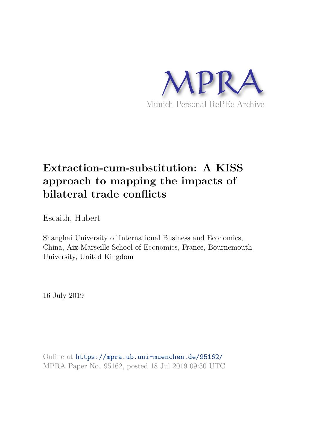

# **Extraction-cum-substitution: A KISS approach to mapping the impacts of bilateral trade conflicts**

Escaith, Hubert

Shanghai University of International Business and Economics, China, Aix-Marseille School of Economics, France, Bournemouth University, United Kingdom

16 July 2019

Online at https://mpra.ub.uni-muenchen.de/95162/ MPRA Paper No. 95162, posted 18 Jul 2019 09:30 UTC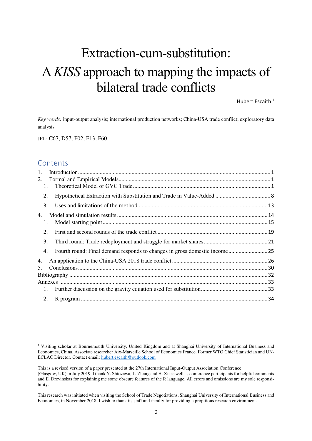# Extraction-cum-substitution: A *KISS* approach to mapping the impacts of bilateral trade conflicts

Hubert Escaith $<sup>1</sup>$ </sup>

*Key words:* input-output analysis; international production networks; China-USA trade conflict; exploratory data analysis

JEL: C67, D57, F02, F13, F60

### **Contents**

-

| 1.             |                                                                            |  |
|----------------|----------------------------------------------------------------------------|--|
| 2.             |                                                                            |  |
| $\mathbf{1}$ . |                                                                            |  |
| 2.             |                                                                            |  |
| 3.             |                                                                            |  |
| 4.             |                                                                            |  |
| 1.             |                                                                            |  |
| 2.             |                                                                            |  |
| 3.             |                                                                            |  |
| 4.             | Fourth round: Final demand responds to changes in gross domestic income 25 |  |
| 4.             |                                                                            |  |
| 5.             |                                                                            |  |
|                |                                                                            |  |
|                |                                                                            |  |
| 1.             |                                                                            |  |
| 2.             |                                                                            |  |

<sup>&</sup>lt;sup>1</sup> Visiting scholar at Bournemouth University, United Kingdom and at Shanghai University of International Business and Economics, China. Associate researcher Aix-Marseille School of Economics France. Former WTO Chief Statistician and UN-ECLAC Director. Contact email: [hubert.escaith@outlook.com](mailto:hubert.escaith@outlook.com) 

This is a revised version of a paper presented at the 27th International Input-Output Association Conference (Glasgow, UK) in July 2019. I thank Y. Shiozawa, L. Zhang and H. Xu as well as conference participants for helpful comments and E. Drevinskas for explaining me some obscure features of the R language. All errors and omissions are my sole responsibility.

This research was initiated when visiting the School of Trade Negotiations, Shanghai University of International Business and Economics, in November 2018. I wish to thank its staff and faculty for providing a propitious research environment.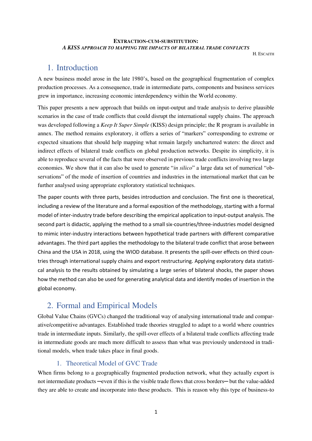### **EXTRACTION-CUM-SUBSTITUTION:**  *A KISS APPROACH TO MAPPING THE IMPACTS OF BILATERAL TRADE CONFLICTS*

**H. ESCAITH** 

### 1. Introduction

A new business model arose in the late 1980's, based on the geographical fragmentation of complex production processes. As a consequence, trade in intermediate parts, components and business services grew in importance, increasing economic interdependency within the World economy.

This paper presents a new approach that builds on input-output and trade analysis to derive plausible scenarios in the case of trade conflicts that could disrupt the international supply chains. The approach was developed following a *Keep It Super Simple* (KISS) design principle; the R program is available in annex. The method remains exploratory, it offers a series of "markers" corresponding to extreme or expected situations that should help mapping what remain largely unchartered waters: the direct and indirect effects of bilateral trade conflicts on global production networks. Despite its simplicity, it is able to reproduce several of the facts that were observed in previous trade conflicts involving two large economies. We show that it can also be used to generate "*in silico*" a large data set of numerical "observations" of the mode of insertion of countries and industries in the international market that can be further analysed using appropriate exploratory statistical techniques.

The paper counts with three parts, besides introduction and conclusion. The first one is theoretical, including a review of the literature and a formal exposition of the methodology, starting with a formal model of inter-industry trade before describing the empirical application to input-output analysis. The second part is didactic, applying the method to a small six-countries/three-industries model designed to mimic inter-industry interactions between hypothetical trade partners with different comparative advantages. The third part applies the methodology to the bilateral trade conflict that arose between China and the USA in 2018, using the WIOD database. It presents the spill-over effects on third countries through international supply chains and export restructuring. Applying exploratory data statistical analysis to the results obtained by simulating a large series of bilateral shocks, the paper shows how the method can also be used for generating analytical data and identify modes of insertion in the global economy.

## 2. Formal and Empirical Models

Global Value Chains (GVCs) changed the traditional way of analysing international trade and comparative/competitive advantages. Established trade theories struggled to adapt to a world where countries trade in intermediate inputs. Similarly, the spill-over effects of a bilateral trade conflicts affecting trade in intermediate goods are much more difficult to assess than what was previously understood in traditional models, when trade takes place in final goods.

### 1. Theoretical Model of GVC Trade

When firms belong to a geographically fragmented production network, what they actually export is not intermediate products —even if this is the visible trade flows that cross borders— but the value-added they are able to create and incorporate into these products. This is reason why this type of business-to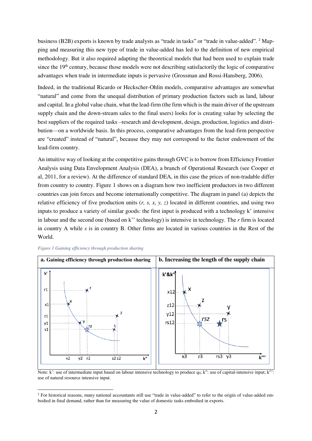business (B2B) exports is known by trade analysts as "trade in tasks" or "trade in value-added". <sup>2</sup> Mapping and measuring this new type of trade in value-added has led to the definition of new empirical methodology. But it also required adapting the theoretical models that had been used to explain trade since the 19<sup>th</sup> century, because those models were not describing satisfactorily the logic of comparative advantages when trade in intermediate inputs is pervasive (Grossman and Rossi-Hansberg, 2006).

Indeed, in the traditional Ricardo or Heckscher-Ohlin models, comparative advantages are somewhat "natural" and come from the unequal distribution of primary production factors such as land, labour and capital. In a global value chain, what the lead-firm (the firm which is the main driver of the upstream supply chain and the down-stream sales to the final users) looks for is creating value by selecting the best suppliers of the required tasks –research and development, design, production, logistics and distribution—on a worldwide basis. In this process, comparative advantages from the lead-firm perspective are "created" instead of "natural", because they may not correspond to the factor endowment of the lead-firm country.

An intuitive way of looking at the competitive gains through GVC is to borrow from Efficiency Frontier Analysis using Data Envelopment Analysis (DEA), a branch of Operational Research (see Cooper et al, 2011, for a review). At the difference of standard DEA, in this case the prices of non-tradable differ from country to country. Figure 1 shows on a diagram how two inefficient productors in two different countries can join forces and become internationally competitive. The diagram in panel (a) depicts the relative efficiency of five production units (*r, s, x, y, z*) located in different countries, and using two inputs to produce a variety of similar goods: the first input is produced with a technology k' intensive in labour and the second one (based on k'' technology) is intensive in technology. The *r* firm is located in country A while *s* is in country B. Other firms are located in various countries in the Rest of the World.



*Figure 1 Gaining efficiency through production sharing* 

<u>.</u>

Note: k': use of intermediate input based on labour intensive technology to produce q<sub>0</sub>; k": use of capital-intensive input; k"': use of natural resource intensive input.

<sup>&</sup>lt;sup>2</sup> For historical reasons, many national accountants still use "trade in value-added" to refer to the origin of value-added embodied in final demand, rather than for measuring the value of domestic tasks embodied in exports.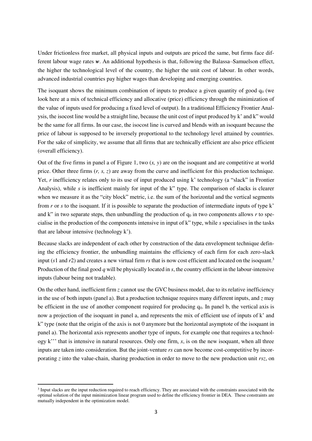Under frictionless free market, all physical inputs and outputs are priced the same, but firms face different labour wage rates *w*. An additional hypothesis is that, following the Balassa–Samuelson effect, the higher the technological level of the country, the higher the unit cost of labour. In other words, advanced industrial countries pay higher wages than developing and emerging countries.

The isoquant shows the minimum combination of inputs to produce a given quantity of good  $q_0$  (we look here at a mix of technical efficiency and allocative (price) efficiency through the minimization of the value of inputs used for producing a fixed level of output). In a traditional Efficiency Frontier Analysis, the isocost line would be a straight line, because the unit cost of input produced by k' and k" would be the same for all firms. In our case, the isocost line is curved and blends with an isoquant because the price of labour is supposed to be inversely proportional to the technology level attained by countries. For the sake of simplicity, we assume that all firms that are technically efficient are also price efficient (overall efficiency).

Out of the five firms in panel a of Figure 1, two (*x, y*) are on the isoquant and are competitive at world price. Other three firms (*r, s, z*) are away from the curve and inefficient for this production technique. Yet, *r* inefficiency relates only to its use of input produced using k' technology (a "slack" in Frontier Analysis), while *s* is inefficient mainly for input of the k" type. The comparison of slacks is clearer when we measure it as the "city block" metric, i.e. the sum of the horizontal and the vertical segments from *r* or *s* to the isoquant. If it is possible to separate the production of intermediate inputs of type k' and k" in two separate steps, then unbundling the production of  $q_0$  in two components allows  $r$  to specialise in the production of the components intensive in input of k" type, while *s* specialises in the tasks that are labour intensive (technology k').

Because slacks are independent of each other by construction of the data envelopment technique defining the efficiency frontier, the unbundling maintains the efficiency of each firm for each zero-slack input (*s*1 and *r*2) and creates a new virtual firm *rs* that is now cost efficient and located on the isoquant.<sup>3</sup> Production of the final good *q* will be physically located in *s*, the country efficient in the labour-intensive inputs (labour being not tradable).

On the other hand, inefficient firm *z* cannot use the GVC business model, due to its relative inefficiency in the use of both inputs (panel a). But a production technique requires many different inputs, and *z* may be efficient in the use of another component required for producing  $q_0$ . In panel b, the vertical axis is now a projection of the isoquant in panel a, and represents the mix of efficient use of inputs of k' and k" type (note that the origin of the axis is not 0 anymore but the horizontal asymptote of the isoquant in panel a). The horizontal axis represents another type of inputs, for example one that requires a technology k''' that is intensive in natural resources. Only one firm, *x*, is on the new isoquant, when all three inputs are taken into consideration. But the joint-venture *rs* can now become cost-competitive by incorporating *z* into the value-chain, sharing production in order to move to the new production unit *rsz*, on

-

<sup>&</sup>lt;sup>3</sup> Input slacks are the input reduction required to reach efficiency. They are associated with the constraints associated with the optimal solution of the input minimization linear program used to define the efficiency frontier in DEA. These constraints are mutually independent in the optimization model.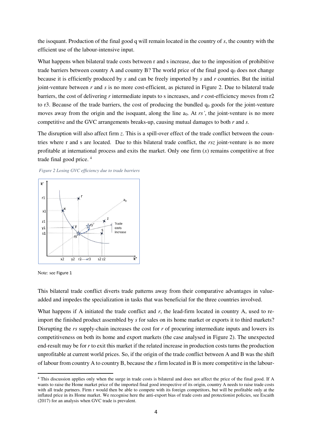the isoquant. Production of the final good q will remain located in the country of *s*, the country with the efficient use of the labour-intensive input.

What happens when bilateral trade costs between r and s increase, due to the imposition of prohibitive trade barriers between country A and country B? The world price of the final good  $q_0$  does not change because it is efficiently produced by *x* and can be freely imported by *s* and *r* countries. But the initial joint-venture between *r* and *s* is no more cost-efficient, as pictured in Figure 2. Due to bilateral trade barriers, the cost of delivering *r* intermediate inputs to s increases, and *r* cost-efficiency moves from r2 to r3. Because of the trade barriers, the cost of producing the bundled  $q_0$  goods for the joint-venture moves away from the origin and the isoquant, along the line a<sub>0</sub>. At *rs'*, the joint-venture is no more competitive and the GVC arrangements breaks-up, causing mutual damages to both *r* and *s*.

The disruption will also affect firm *z*. This is a spill-over effect of the trade conflict between the countries where r and s are located. Due to this bilateral trade conflict, the *rsz* joint-venture is no more profitable at international process and exits the market. Only one firm  $(x)$  remains competitive at free trade final good price. <sup>4</sup>





Note: see Figure 1

-

This bilateral trade conflict diverts trade patterns away from their comparative advantages in valueadded and impedes the specialization in tasks that was beneficial for the three countries involved.

What happens if A initiated the trade conflict and r, the lead-firm located in country A, used to reimport the finished product assembled by *s* for sales on its home market or exports it to third markets? Disrupting the *rs* supply-chain increases the cost for *r* of procuring intermediate inputs and lowers its competitiveness on both its home and export markets (the case analysed in Figure 2). The unexpected end-result may be for *r* to exit this market if the related increase in production costs turns the production unprofitable at current world prices. So, if the origin of the trade conflict between A and B was the shift of labour from country A to country B, because the *s* firm located in B is more competitive in the labour-

<sup>4</sup> This discussion applies only when the surge in trade costs is bilateral and does not affect the price of the final good. If A wants to raise the Home market price of the imported final good irrespective of its origin, country A needs to raise trade costs with all trade partners. Firm r would then be able to compete with its foreign competitors, but will be profitable only at the inflated price in its Home market. We recognise here the anti-export bias of trade costs and protectionist policies, see Escaith (2017) for an analysis when GVC trade is prevalent.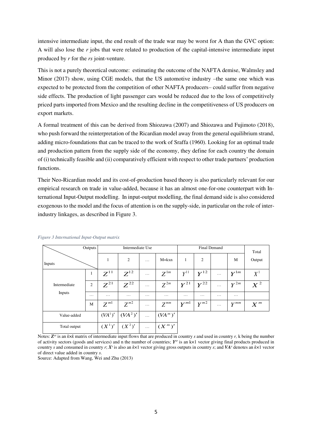intensive intermediate input, the end result of the trade war may be worst for A than the GVC option: A will also lose the *r* jobs that were related to production of the capital-intensive intermediate input produced by *r* for the *rs* joint-venture.

This is not a purely theoretical outcome: estimating the outcome of the NAFTA demise, Walmsley and Minor (2017) show, using CGE models, that the US automotive industry –the same one which was expected to be protected from the competition of other NAFTA producers– could suffer from negative side effects. The production of light passenger cars would be reduced due to the loss of competitively priced parts imported from Mexico and the resulting decline in the competitiveness of US producers on export markets.

A formal treatment of this can be derived from Shiozawa (2007) and Shiozawa and Fujimoto (2018), who push forward the reinterpretation of the Ricardian model away from the general equilibrium strand, adding micro-foundations that can be traced to the work of Sraffa (1960). Looking for an optimal trade and production pattern from the supply side of the economy, they define for each country the domain of (i) technically feasible and (ii) comparatively efficient with respect to other trade partners' production functions.

Their Neo-Ricardian model and its cost-of-production based theory is also particularly relevant for our empirical research on trade in value-added, because it has an almost one-for-one counterpart with International Input-Output modelling. In input-output modelling, the final demand side is also considered exogenous to the model and the focus of attention is on the supply-side, in particular on the role of interindustry linkages, as described in Figure 3.

|              | Outputs        |                     | Intermediate Use    |          |                     | <b>Final Demand</b> |          |          |          | Total  |
|--------------|----------------|---------------------|---------------------|----------|---------------------|---------------------|----------|----------|----------|--------|
| Inputs       |                | 1                   | 2                   | $\cdots$ | $M=$ $kxn$          | 1                   | 2        |          | M        | Output |
|              | $\mathbf{1}$   | $Z^{11}$            | $Z^{12}$            | $\cdots$ | $Z^{1m}$            | $Y^{11}$            | $Y^{12}$ | $\cdots$ | $Y^{1m}$ | $X^1$  |
| Intermediate | $\overline{2}$ | $Z^{21}$            | $Z^{22}$            | $\cdots$ | $Z^{2m}$            | $Y^{21}$            | $Y^{22}$ | $\cdots$ | $Y^{2m}$ | $X^2$  |
| Inputs       | $\cdots$       | $\cdots$            | $\cdots$            | $\cdots$ | $\cdots$            | $\cdots$            | $\cdots$ | $\cdots$ | $\cdots$ |        |
|              | M              | $Z^{m!}$            | $Z^{m2}$            | $\cdots$ | $Z^{mn}$            | $Y^{m1}$            | $Y^{m2}$ | $\cdots$ | $Y^{mm}$ | $X^m$  |
| Value-added  |                | (VA <sup>1</sup> )' | (VA <sup>2</sup> )' | $\cdots$ | (VA <sup>m</sup> )' |                     |          |          |          |        |
| Total output |                | $(X^{1})'$          | $(X^2)'$            | $\cdots$ | $(X^m)'$            |                     |          |          |          |        |

#### *Figure 3 International Input-Output matrix*

Notes: *Z sr* is an *k*×*k* matrix of intermediate input flows that are produced in country *s* and used in country *r,* k being the number of activity sectors (goods and services) and n the number of countries; *Y sr* is an k×1 vector giving final products produced in country *s* and consumed in country *r*; *X<sup>s</sup>* is also an *k*×1 vector giving gross outputs in country *s*; and *VA<sup>s</sup>* denotes an *k*×1 vector of direct value added in country *s*.

Source: Adapted from Wang, Wei and Zhu (2013)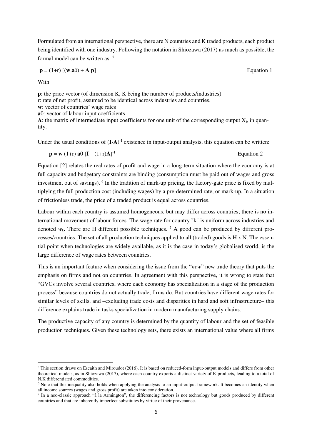Formulated from an international perspective, there are N countries and K traded products, each product being identified with one industry. Following the notation in Shiozawa (2017) as much as possible, the formal model can be written as: <sup>5</sup>

$$
\mathbf{p} = (1+r) \left[ (\mathbf{w}.\mathbf{a}0) + \mathbf{A} \mathbf{p} \right]
$$
 Equation 1

With

<u>.</u>

**p**: the price vector (of dimension K, K being the number of products/industries) r: rate of net profit, assumed to be identical across industries and countries. **w**: vector of countries' wage rates **a**0: vector of labour input coefficients A: the matrix of intermediate input coefficients for one unit of the corresponding output  $X_j$ , in quantity.

Under the usual conditions of  $(I-A)^{-1}$  existence in input-output analysis, this equation can be written:

$$
\mathbf{p} = \mathbf{w} (1+r) \mathbf{a} 0 \left[ \mathbf{I} - (1+r) \mathbf{A} \right]^{-1}
$$
 Equation 2

Equation [2] relates the real rates of profit and wage in a long-term situation where the economy is at full capacity and budgetary constraints are binding (consumption must be paid out of wages and gross investment out of savings). <sup>6</sup> In the tradition of mark-up pricing, the factory-gate price is fixed by multiplying the full production cost (including wages) by a pre-determined rate, or mark-up. In a situation of frictionless trade, the price of a traded product is equal across countries.

Labour within each country is assumed homogeneous, but may differ across countries; there is no international movement of labour forces. The wage rate for country "k" is uniform across industries and denoted  $w_k$ . There are H different possible techniques. <sup>7</sup> A good can be produced by different processes/countries. The set of all production techniques applied to all (traded) goods is H x N. The essential point when technologies are widely available, as it is the case in today's globalised world, is the large difference of wage rates between countries.

This is an important feature when considering the issue from the "*new*" new trade theory that puts the emphasis on firms and not on countries. In agreement with this perspective, it is wrong to state that "GVCs involve several countries, where each economy has specialization in a stage of the production process" because countries do not actually trade, firms do. But countries have different wage rates for similar levels of skills, and –excluding trade costs and disparities in hard and soft infrastructure– this difference explains trade in tasks specialization in modern manufacturing supply chains.

The productive capacity of any country is determined by the quantity of labour and the set of feasible production techniques. Given these technology sets, there exists an international value where all firms

 $<sup>5</sup>$  This section draws on Escaith and Miroudot (2016). It is based on reduced-form input-output models and differs from other</sup> theoretical models, as in Shiozawa (2017), where each country exports a distinct variety of K products, leading to a total of N.K differentiated commodities.

<sup>&</sup>lt;sup>6</sup> Note that this inequality also holds when applying the analysis to an input-output framework. It becomes an identity when all income sources (wages and gross profit) are taken into consideration.

<sup>7</sup> In a neo-classic approach "à la Armington", the differencing factors is not technology but goods produced by different countries and that are inherently imperfect substitutes by virtue of their provenance.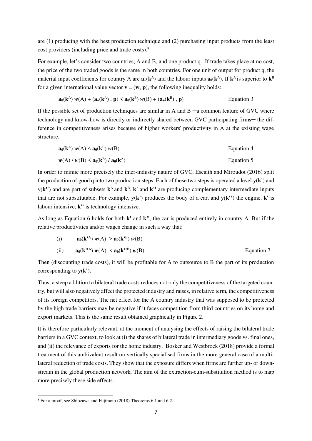are (1) producing with the best production technique and (2) purchasing input products from the least cost providers (including price and trade costs).<sup>8</sup>

For example, let's consider two countries, A and B, and one product q. If trade takes place at no cost, the price of the two traded goods is the same in both countries. For one unit of output for product q, the material input coefficients for country A are  $\mathbf{a}_+(\mathbf{k}^{\text{A}})$  and the labour inputs  $\mathbf{a}_0(\mathbf{k}^{\text{A}})$ . If  $\mathbf{k}^{\text{A}}$  is superior to  $\mathbf{k}^{\text{B}}$ for a given international value vector  $\mathbf{v} = (\mathbf{w}, \mathbf{p})$ , the following inequality holds:

$$
\mathbf{a}_0(\mathbf{k}^{\mathbf{A}}) \ \mathbf{w}(\mathbf{A}) + (\mathbf{a}_+(\mathbf{k}^{\mathbf{A}}), \, \mathbf{p}) \leq \mathbf{a}_0(\mathbf{k}^{\mathbf{B}}) \ \mathbf{w}(\mathbf{B}) + (\mathbf{a}_+(\mathbf{k}^{\mathbf{B}}), \, \mathbf{p})
$$
 Equation 3

If the possible set of production techniques are similar in A and  $B - a$  common feature of GVC where technology and know-how is directly or indirectly shared between GVC participating firms— the difference in competitiveness arises because of higher workers' productivity in A at the existing wage structure.

$$
\mathbf{a}_0(\mathbf{k}^{\mathbf{A}}) \, w(\mathbf{A}) < \mathbf{a}_0(\mathbf{k}^{\mathbf{B}}) \, w(\mathbf{B})
$$
\nEquation 4  
\n
$$
w(\mathbf{A}) \, / \, w(\mathbf{B}) < \mathbf{a}_0(\mathbf{k}^{\mathbf{B}}) \, / \, \mathbf{a}_0(\mathbf{k}^{\mathbf{A}})
$$
\nEquation 5

In order to mimic more precisely the inter-industry nature of GVC, Escaith and Miroudot (2016) split the production of good q into two production steps. Each of these two steps is operated a level y(**k'**) and  $y(k'')$  and are part of subsets  $k^A$  and  $k^B$ .  $k'$  and  $k''$  are producing complementary intermediate inputs that are not substitutable. For example,  $y(k')$  produces the body of a car, and  $y(k'')$  the engine.  $k'$  is labour intensive, **k"** is technology intensive.

As long as Equation 6 holds for both **k'** and **k"**, the car is produced entirely in country A. But if the relative productivities and/or wages change in such a way that:

(i) 
$$
\mathbf{a}_0(\mathbf{k}^{tA}) \mathbf{w}(A) > \mathbf{a}_0(\mathbf{k}^{tB}) \mathbf{w}(B)
$$
  
\n(ii)  $\mathbf{a}_0(\mathbf{k}^{tA}) \mathbf{w}(A) < \mathbf{a}_0(\mathbf{k}^{tB}) \mathbf{w}(B)$  Equation 7

Then (discounting trade costs), it will be profitable for A to outsource to B the part of its production corresponding to y(**k'**).

Thus, a steep addition to bilateral trade costs reduces not only the competitiveness of the targeted country, but will also negatively affect the protected industry and raises, in relative term, the competitiveness of its foreign competitors. The net effect for the A country industry that was supposed to be protected by the high trade barriers may be negative if it faces competition from third countries on its home and export markets. This is the same result obtained graphically in Figure 2.

It is therefore particularly relevant, at the moment of analysing the effects of raising the bilateral trade barriers in a GVC context, to look at (i) the shares of bilateral trade in intermediary goods vs. final ones, and (ii) the relevance of exports for the home industry. Bosker and Westbrock (2018) provide a formal treatment of this ambivalent result on vertically specialised firms in the more general case of a multilateral reduction of trade costs. They show that the exposure differs when firms are further up- or downstream in the global production network. The aim of the extraction-cum-substitution method is to map more precisely these side effects.

<u>.</u>

<sup>8</sup> For a proof, see Shiozawa and Fujimoto (2018) Theorems 6.1 and 6.2.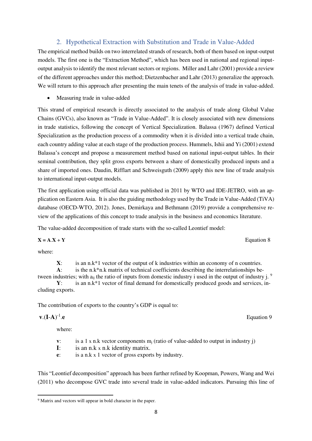$$
\mathbf{V}.\mathbf{(I-A)}^{-1}.\mathbf{e}
$$

<u>.</u>

where:

**v**: is a 1 x n.k vector components  $m_i$  (ratio of value-added to output in industry j)

Equation 9

- **I**: is an n.k x n.k identity matrix.
- **e**: is a n.k x 1 vector of gross exports by industry.

This "Leontief decomposition" approach has been further refined by Koopman, Powers, Wang and Wei (2011) who decompose GVC trade into several trade in value-added indicators. Pursuing this line of

### 2. Hypothetical Extraction with Substitution and Trade in Value-Added

The empirical method builds on two interrelated strands of research, both of them based on input-output models. The first one is the "Extraction Method", which has been used in national and regional inputoutput analysis to identify the most relevant sectors or regions. Miller and Lahr (2001) provide a review of the different approaches under this method; Dietzenbacher and Lahr (2013) generalize the approach. We will return to this approach after presenting the main tenets of the analysis of trade in value-added.

Measuring trade in value-added

This strand of empirical research is directly associated to the analysis of trade along Global Value Chains (GVCs), also known as "Trade in Value-Added". It is closely associated with new dimensions in trade statistics, following the concept of Vertical Specialization. Balassa (1967) defined Vertical Specialization as the production process of a commodity when it is divided into a vertical trade chain, each country adding value at each stage of the production process. Hummels, Ishii and Yi (2001) extend Balassa's concept and propose a measurement method based on national input-output tables. In their seminal contribution, they split gross exports between a share of domestically produced inputs and a share of imported ones. Daudin, Rifflart and Schweisguth (2009) apply this new line of trade analysis to international input-output models.

The first application using official data was published in 2011 by WTO and IDE-JETRO, with an application on Eastern Asia. It is also the guiding methodology used by the Trade in Value-Added (TiVA) database (OECD-WTO, 2012). Jones, Demirkaya and Bethmann (2019) provide a comprehensive review of the applications of this concept to trade analysis in the business and economics literature.

The value-added decomposition of trade starts with the so-called Leontief model:

$$
X = A.X + Y
$$
 Equation 8

where:

**X**: is an n.k\*1 vector of the output of k industries within an economy of n countries. **A**: is the n.k\*n.k matrix of technical coefficients describing the interrelationships between industries; with  $a_{ii}$  the ratio of inputs from domestic industry i used in the output of industry j.  $9$ **Y**: is an n.k\*1 vector of final demand for domestically produced goods and services, in-

cluding exports.

The contribution of exports to the country's GDP is equal to:

<sup>&</sup>lt;sup>9</sup> Matrix and vectors will appear in bold character in the paper.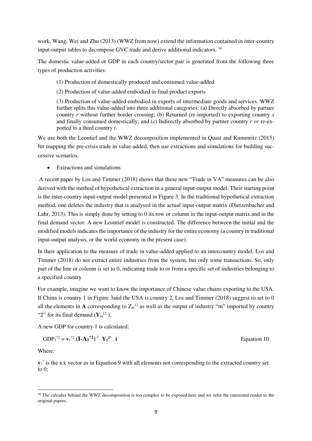work, Wang, Wei and Zhu (2013) (WWZ from now) extend the information contained in inter-country input-output tables to decompose GVC trade and derive additional indicators. <sup>10</sup>

The domestic value-added or GDP in each country/sector pair is generated from the following three types of production activities:

- (1) Production of domestically produced and consumed value-added
- (2) Production of value-added embodied in final product exports

(3) Production of value-added embodied in exports of intermediate goods and services. WWZ further splits this value-added into three additional categories: (a) Directly absorbed by partner country *r* without further border crossing; (b) Returned (re-imported) to exporting country *s*  and finally consumed domestically; and (c) Indirectly absorbed by partner country *r or* re-exported to a third country *t*.

We use both the Leontief and the WWZ decomposition implemented in Quast and Kummritz (2015) for mapping the pre-crisis trade in value-added, then use extractions and simulations for building successive scenarios.

• Extractions and simulations

A recent paper by Los and Timmer (2018) shows that these new "Trade in VA" measures can be also derived with the method of hypothetical extraction in a general input-output model. Their starting point is the inter-country input-output model presented in Figure 3. In the traditional hypothetical extraction method, one deletes the industry that is analysed in the actual input-output matrix (Dietzenbacher and Lahr, 2013). This is simply done by setting to 0 its row or column in the input-output matrix and in the final demand vector. A new Leontief model is constructed. The difference between the initial and the modified models indicates the importance of the industry for the entire economy (a country in traditional input-output analysis, or the world economy in the present case).

In their application to the measure of trade in value-added applied to an intercountry model, Los and Timmer (2018) do not extract entire industries from the system, but only some transactions. So, only part of the line or column is set to 0, indicating trade to or from a specific set of industries belonging to a specified country.

For example, imagine we want to know the importance of Chinese value chains exporting to the USA. If China is country 1 in Figure 3and the USA is country 2, Los and Timmer (2018) suggest to set to 0 all the elements in A corresponding to  $Z_m^{\{1\}}$  as well as the output of industry "m" imported by country "2" for its final demand  $(\mathbf{Y}_{m}^{12})$ .

A new GDP for country 1 is calculated:

GDP<sub>1</sub><sup>\*2</sup> = 
$$
\mathbf{v}_1^*
$$
<sup>2</sup>. $(\mathbf{I} - \mathbf{A_1}^* \mathbf{I})^{-1}$ .  $\mathbf{Y_1}^2$ <sup>\*</sup>. **i**

Equation 10

Where:

<u>.</u>

 $v_1$ <sup>\*</sup> is the n.k vector as in Equation 9 with all elements not corresponding to the extracted country set to 0;

<sup>&</sup>lt;sup>10</sup> The calculus behind the WWZ decomposition is too complex to be exposed here and we refer the interested reader to the original papers.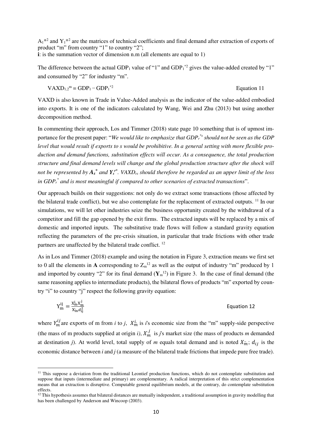$A_1^*$  and  $Y_1^*$  are the matrices of technical coefficients and final demand after extraction of exports of product "m" from country "1" to country "2"; **i**: is the summation vector of dimension n.m (all elements are equal to 1)

The difference between the actual GDP<sub>1</sub> value of "1" and GDP<sub>1</sub><sup>\*2</sup> gives the value-added created by "1" and consumed by "2" for industry "m".

$$
VAXD_{1,2}^{\mathbf{m}} = GDP_1 - GDP_1^{2}
$$
 Equation 11

VAXD is also known in Trade in Value-Added analysis as the indicator of the value-added embodied into exports. It is one of the indicators calculated by Wang, Wei and Zhu (2013) but using another decomposition method.

In commenting their approach, Los and Timmer (2018) state page 10 something that is of upmost importance for the present paper: "*We would like to emphasize that GDP<sup>r</sup> \*s should not be seen as the GDP level that would result if exports to s would be prohibitive. In a general setting with more flexible production and demand functions, substitution effects will occur. As a consequence, the total production structure and final demand levels will change and the global production structure after the shock will not be represented by A<sup>s</sup> \* and Y<sup>s</sup> r\*. VAXDrs should therefore be regarded as an upper limit of the loss in GDP<sup>r</sup> \* and is most meaningful if compared to other scenarios of extracted transactions*".

Our approach builds on their suggestions: not only do we extract some transactions (those affected by the bilateral trade conflict), but we also contemplate for the replacement of extracted outputs. <sup>11</sup> In our simulations, we will let other industries seize the business opportunity created by the withdrawal of a competitor and fill the gap opened by the exit firms. The extracted inputs will be replaced by a mix of domestic and imported inputs. The substitutive trade flows will follow a standard gravity equation reflecting the parameters of the pre-crisis situation, in particular that trade frictions with other trade partners are unaffected by the bilateral trade conflict. <sup>12</sup>

As in Los and Timmer (2018) example and using the notation in Figure 3, extraction means we first set to 0 all the elements in A corresponding to  $Z_m^{12}$  as well as the output of industry "m" produced by 1 and imported by country "2" for its final demand  $(Y_m^{12})$  in Figure 3. In the case of final demand (the same reasoning applies to intermediate products), the bilateral flows of products "m" exported by country "i" to country "j" respect the following gravity equation:

$$
Y_m^{ij} = \frac{X_m^i X_m^j}{X_m^i d_{ij}^2}
$$
 Equation 12

where  $Y_m^{ij}$  are exports of m from *i* to *j*,  $X_m^{i}$  is *i*'s economic size from the "m" supply-side perspective (the mass of m products supplied at origin *i*),  $X_m^j$  is *j*'s market size (the mass of products *m* demanded at destination *j*). At world level, total supply of *m* equals total demand and is noted  $X_{m}$ ;  $d_{ij}$  is the economic distance between *i* and *j* (a measure of the bilateral trade frictions that impede pure free trade).

-

 $11$  This suppose a deviation from the traditional Leontief production functions, which do not contemplate substitution and suppose that inputs (intermediate and primary) are complementary. A radical interpretation of this strict complementation means that an extraction is disruptive. Computable general equilibrium models, at the contrary, do contemplate substitution effects.

 $12$  This hypothesis assumes that bilateral distances are mutually independent, a traditional assumption in gravity modelling that has been challenged by Anderson and Wincoop (2003).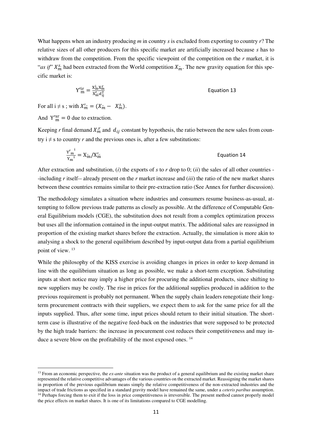What happens when an industry producing *m* in country *s* is excluded from exporting to country *r*? The relative sizes of all other producers for this specific market are artificially increased because *s* has to withdraw from the competition. From the specific viewpoint of the competition on the *r* market, it is "*as if*"  $X_m^s$  had been extracted from the World competition  $X_m$ . The new gravity equation for this specific market is:

$$
Y'^{ir}_{m} = \frac{x_{in}^{i} x_{m}^{r}}{x'_{m} a_{ij}^{2}}
$$
 Equation 13

For all  $i \neq s$ ; with  $X'_m = (X_m - X_m^s)$ .

And  $Y_{m}^{sr} = 0$  due to extraction.

-

Keeping *r* final demand  $X_m^r$  and  $d_{ij}$  constant by hypothesis, the ratio between the new sales from country  $i \neq s$  to country *r* and the previous ones is, after a few substitutions:

$$
\frac{Y'_{\mathrm{m}}^1}{Y_{\mathrm{m}}^1} = X_{\mathrm{m}}^{\cdot}/X_{\mathrm{m}}^{\prime\cdot} \tag{Equation 14}
$$

After extraction and substitution, (*i*) the exports of *s* to *r* drop to 0; (*ii*) the sales of all other countries - -including *r* itself-- already present on the *r* market increase and (*iii*) the ratio of the new market shares between these countries remains similar to their pre-extraction ratio (See Annex for further discussion).

The methodology simulates a situation where industries and consumers resume business-as-usual, attempting to follow previous trade patterns as closely as possible. At the difference of Computable General Equilibrium models (CGE), the substitution does not result from a complex optimization process but uses all the information contained in the input-output matrix. The additional sales are reassigned in proportion of the existing market shares before the extraction. Actually, the simulation is more akin to analysing a shock to the general equilibrium described by input-output data from a partial equilibrium point of view. <sup>13</sup>

While the philosophy of the KISS exercise is avoiding changes in prices in order to keep demand in line with the equilibrium situation as long as possible, we make a short-term exception. Substituting inputs at short notice may imply a higher price for procuring the additional products, since shifting to new suppliers may be costly. The rise in prices for the additional supplies produced in addition to the previous requirement is probably not permanent. When the supply chain leaders renegotiate their longterm procurement contracts with their suppliers, we expect them to ask for the same price for all the inputs supplied. Thus, after some time, input prices should return to their initial situation. The shortterm case is illustrative of the negative feed-back on the industries that were supposed to be protected by the high trade barriers: the increase in procurement cost reduces their competitiveness and may induce a severe blow on the profitability of the most exposed ones.<sup>14</sup>

<sup>&</sup>lt;sup>13</sup> From an economic perspective, the *ex-ante* situation was the product of a general equilibrium and the existing market share represented the relative competitive advantages of the various countries on the extracted market. Reassigning the market shares in proportion of the previous equilibrium means simply the relative competitiveness of the non-extracted industries and the impact of trade frictions as specified in a standard gravity model have remained the same, under a *ceteris paribus* assumption. <sup>14</sup> Perhaps forcing them to exit if the loss in price competitiveness is irreversible. The present method cannot properly model the price effects on market shares. It is one of its limitations compared to CGE modelling.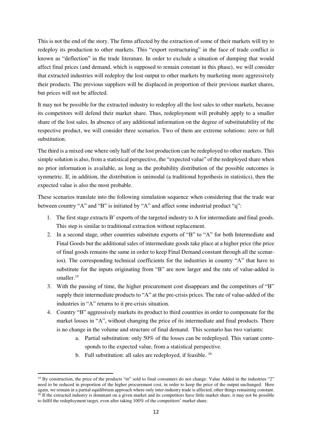This is not the end of the story. The firms affected by the extraction of some of their markets will try to redeploy its production to other markets. This "export restructuring" in the face of trade conflict is known as "deflection" in the trade literature. In order to exclude a situation of dumping that would affect final prices (and demand, which is supposed to remain constant in this phase), we will consider that extracted industries will redeploy the lost output to other markets by marketing more aggressively their products. The previous suppliers will be displaced in proportion of their previous market shares, but prices will not be affected.

It may not be possible for the extracted industry to redeploy all the lost sales to other markets, because its competitors will defend their market share. Thus, redeployment will probably apply to a smaller share of the lost sales. In absence of any additional information on the degree of substitutability of the respective product, we will consider three scenarios. Two of them are extreme solutions: zero or full substitution.

The third is a mixed one where only half of the lost production can be redeployed to other markets. This simple solution is also, from a statistical perspective, the "expected value" of the redeployed share when no prior information is available, as long as the probability distribution of the possible outcomes is symmetric. If, in addition, the distribution is unimodal (a traditional hypothesis in statistics), then the expected value is also the most probable.

These scenarios translate into the following simulation sequence when considering that the trade war between country "A" and "B" is initiated by "A" and affect some industrial product "q":

- 1. The first stage extracts B' exports of the targeted industry to A for intermediate and final goods. This step is similar to traditional extraction without replacement.
- 2. In a second stage, other countries substitute exports of "B" to "A" for both Intermediate and Final Goods but the additional sales of intermediate goods take place at a higher price (the price of final goods remains the same in order to keep Final Demand constant through all the scenarios). The corresponding technical coefficients for the industries in country "A" that have to substitute for the inputs originating from "B" are now larger and the rate of value-added is smaller.<sup>15</sup>
- 3. With the passing of time, the higher procurement cost disappears and the competitors of "B" supply their intermediate products to "A" at the pre-crisis prices. The rate of value-added of the industries in "A" returns to it pre-crisis situation.
- 4. Country "B" aggressively markets its product to third countries in order to compensate for the market losses in "A", without changing the price of its intermediate and final products. There is no change in the volume and structure of final demand. This scenario has two variants:
	- a. Partial substitution: only 50% of the losses can be redeployed. This variant corresponds to the expected value, from a statistical perspective.
	- b. Full substitution: all sales are redeployed, if feasible. <sup>16</sup>

-

<sup>&</sup>lt;sup>15</sup> By construction, the price of the products "m" sold to final consumers do not change: Value Added in the industries "2" need to be reduced in proportion of the higher procurement cost, in order to keep the price of the output unchanged. Here again, we remain in a partial equilibrium approach where only inter-industry trade is affected, other things remaining constant. <sup>16</sup> If the extracted industry is dominant on a given market and its competitors have little market share, it may not be possible to fulfil the redeployment target, even after taking 100% of the competitors' market share.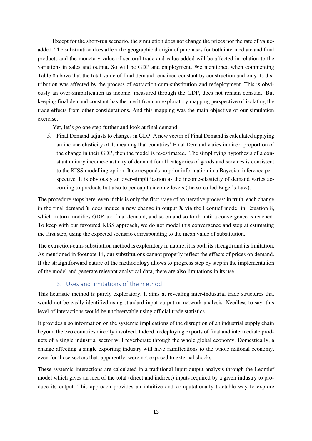Except for the short-run scenario, the simulation does not change the prices nor the rate of valueadded. The substitution does affect the geographical origin of purchases for both intermediate and final products and the monetary value of sectoral trade and value added will be affected in relation to the variations in sales and output. So will be GDP and employment. We mentioned when commenting Table 8 above that the total value of final demand remained constant by construction and only its distribution was affected by the process of extraction-cum-substitution and redeployment. This is obviously an over-simplification as income, measured through the GDP, does not remain constant. But keeping final demand constant has the merit from an exploratory mapping perspective of isolating the trade effects from other considerations. And this mapping was the main objective of our simulation exercise.

Yet, let's go one step further and look at final demand.

5. Final Demand adjusts to changes in GDP. A new vector of Final Demand is calculated applying an income elasticity of 1, meaning that countries' Final Demand varies in direct proportion of the change in their GDP, then the model is re-estimated. The simplifying hypothesis of a constant unitary income-elasticity of demand for all categories of goods and services is consistent to the KISS modelling option. It corresponds no prior information in a Bayesian inference perspective. It is obviously an over-simplification as the income-elasticity of demand varies according to products but also to per capita income levels (the so-called Engel's Law).

The procedure stops here, even if this is only the first stage of an iterative process: in truth, each change in the final demand **Y** does induce a new change in output **X** via the Leontief model in Equation 8, which in turn modifies GDP and final demand, and so on and so forth until a convergence is reached. To keep with our favoured KISS approach, we do not model this convergence and stop at estimating the first step, using the expected scenario corresponding to the mean value of substitution.

The extraction-cum-substitution method is exploratory in nature, it is both its strength and its limitation. As mentioned in footnote 14, our substitutions cannot properly reflect the effects of prices on demand. If the straightforward nature of the methodology allows to progress step by step in the implementation of the model and generate relevant analytical data, there are also limitations in its use.

### 3. Uses and limitations of the method

This heuristic method is purely exploratory. It aims at revealing inter-industrial trade structures that would not be easily identified using standard input-output or network analysis. Needless to say, this level of interactions would be unobservable using official trade statistics.

It provides also information on the systemic implications of the disruption of an industrial supply chain beyond the two countries directly involved. Indeed, redeploying exports of final and intermediate products of a single industrial sector will reverberate through the whole global economy. Domestically, a change affecting a single exporting industry will have ramifications to the whole national economy, even for those sectors that, apparently, were not exposed to external shocks.

These systemic interactions are calculated in a traditional input-output analysis through the Leontief model which gives an idea of the total (direct and indirect) inputs required by a given industry to produce its output. This approach provides an intuitive and computationally tractable way to explore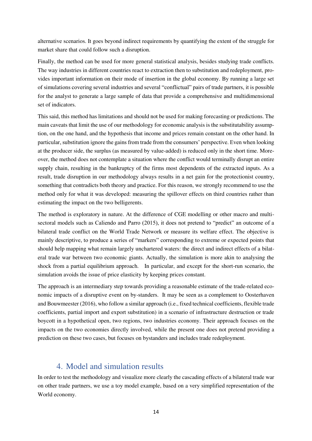alternative scenarios. It goes beyond indirect requirements by quantifying the extent of the struggle for market share that could follow such a disruption.

Finally, the method can be used for more general statistical analysis, besides studying trade conflicts. The way industries in different countries react to extraction then to substitution and redeployment, provides important information on their mode of insertion in the global economy. By running a large set of simulations covering several industries and several "conflictual" pairs of trade partners, it is possible for the analyst to generate a large sample of data that provide a comprehensive and multidimensional set of indicators.

This said, this method has limitations and should not be used for making forecasting or predictions. The main caveats that limit the use of our methodology for economic analysis is the substitutability assumption, on the one hand, and the hypothesis that income and prices remain constant on the other hand. In particular, substitution ignore the gains from trade from the consumers' perspective. Even when looking at the producer side, the surplus (as measured by value-added) is reduced only in the short time. Moreover, the method does not contemplate a situation where the conflict would terminally disrupt an entire supply chain, resulting in the bankruptcy of the firms most dependents of the extracted inputs. As a result, trade disruption in our methodology always results in a net gain for the protectionist country, something that contradicts both theory and practice. For this reason, we strongly recommend to use the method only for what it was developed: measuring the spillover effects on third countries rather than estimating the impact on the two belligerents.

The method is exploratory in nature. At the difference of CGE modelling or other macro and multisectoral models such as Caliendo and Parro (2015), it does not pretend to "predict" an outcome of a bilateral trade conflict on the World Trade Network or measure its welfare effect. The objective is mainly descriptive, to produce a series of "markers" corresponding to extreme or expected points that should help mapping what remain largely unchartered waters: the direct and indirect effects of a bilateral trade war between two economic giants. Actually, the simulation is more akin to analysing the shock from a partial equilibrium approach. In particular, and except for the short-run scenario, the simulation avoids the issue of price elasticity by keeping prices constant.

The approach is an intermediary step towards providing a reasonable estimate of the trade-related economic impacts of a disruptive event on by-standers. It may be seen as a complement to Oosterhaven and Bouwmeester (2016), who follow a similar approach (i.e., fixed technical coefficients, flexible trade coefficients, partial import and export substitution) in a scenario of infrastructure destruction or trade boycott in a hypothetical open, two regions, two industries economy. Their approach focuses on the impacts on the two economies directly involved, while the present one does not pretend providing a prediction on these two cases, but focuses on bystanders and includes trade redeployment.

### 4. Model and simulation results

In order to test the methodology and visualize more clearly the cascading effects of a bilateral trade war on other trade partners, we use a toy model example, based on a very simplified representation of the World economy.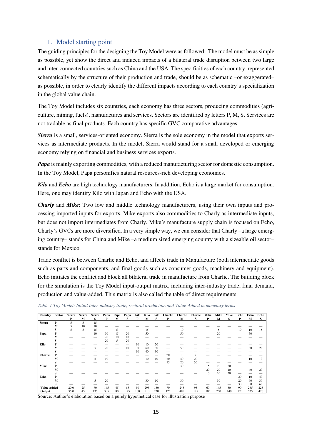### 1. Model starting point

The guiding principles for the designing the Toy Model were as followed: The model must be as simple as possible, yet show the direct and induced impacts of a bilateral trade disruption between two large and inter-connected countries such as China and the USA. The specificities of each country, represented schematically by the structure of their production and trade, should be as schematic –or exaggerated– as possible, in order to clearly identify the different impacts according to each country's specialization in the global value chain.

The Toy Model includes six countries, each economy has three sectors, producing commodities (agriculture, mining, fuels), manufactures and services. Sectors are identified by letters P, M, S. Services are not tradable as final products. Each country has specific GVC comparative advantages:

*Sierra* is a small, services-oriented economy. Sierra is the sole economy in the model that exports services as intermediate products. In the model, Sierra would stand for a small developed or emerging economy relying on financial and business services exports.

*Papa* is mainly exporting commodities, with a reduced manufacturing sector for domestic consumption. In the Toy Model, Papa personifies natural resources-rich developing economies.

*Kilo* and *Echo* are high technology manufacturers. In addition, Echo is a large market for consumption. Here, one may identify Kilo with Japan and Echo with the USA.

*Charly* and *Mike*: Two low and middle technology manufacturers, using their own inputs and processing imported inputs for exports. Mike exports also commodities to Charly as intermediate inputs, but does not import intermediates from Charly. Mike's manufacture supply chain is focused on Echo, Charly's GVCs are more diversified. In a very simple way, we can consider that Charly –a large emerging country– stands for China and Mike –a medium sized emerging country with a sizeable oil sector– stands for Mexico.

Trade conflict is between Charlie and Echo, and affects trade in Manufacture (both intermediate goods such as parts and components, and final goods such as consumer goods, machinery and equipment). Echo initiates the conflict and block all bilateral trade in manufacture from Charlie. The building block for the simulation is the Toy Model input-output matrix, including inter-industry trade, final demand, production and value-added. This matrix is also called the table of direct requirements.

*Table 1 Toy Model: Initial Inter-industry trade, sectoral production and Value-Added in monetary terms* 

| Country            | <b>Sector</b> | <b>Sierra</b><br>P | Sierra<br>М | <b>Sierra</b><br>S | Papa<br>P | Papa<br>м | Papa<br>s | Kilo<br>P | Kilo<br>M | Kilo<br>S | <b>Charlie</b><br>P | <b>Charlie</b><br>м | <b>Charlie</b><br>s | Mike<br>P | Mike<br>M | Mike<br>S | Echo<br>P                | Echo<br>M | Echo |
|--------------------|---------------|--------------------|-------------|--------------------|-----------|-----------|-----------|-----------|-----------|-----------|---------------------|---------------------|---------------------|-----------|-----------|-----------|--------------------------|-----------|------|
|                    |               |                    |             |                    |           |           |           |           |           |           |                     |                     |                     |           |           |           |                          |           | S    |
| <b>Sierra</b>      | P             | 5                  | 5           | 15                 |           |           |           |           |           |           |                     |                     |                     |           |           |           |                          |           |      |
|                    | M             |                    | 10          | 10                 |           |           |           |           |           |           |                     |                     |                     |           |           |           |                          |           |      |
|                    | S             |                    | 5           | 15                 |           |           |           |           | 15        |           |                     | 10                  |                     |           | 5         |           | 10                       | 10        | 15   |
| Papa               | P             |                    |             | 10                 | 50        | 15        | 20        |           | 50        |           |                     | 50                  |                     |           | 20        |           |                          | 50        |      |
|                    | M             |                    |             |                    | 20        | 10        | 10        |           |           |           |                     |                     |                     |           |           |           |                          |           |      |
|                    | S             |                    |             |                    | 20        | 5         | 20        |           |           |           |                     |                     |                     |           |           |           |                          |           |      |
| Kilo               | P             |                    |             |                    |           |           |           | 10        | 10        | 20        |                     |                     |                     |           |           |           |                          |           |      |
|                    | M             |                    |             | 5                  | 20        |           | 10        | 30        | 60        | 30        |                     | 50                  |                     |           |           |           |                          | 30        | 20   |
|                    | s             |                    |             |                    |           |           |           | 10        | 40        | 30        |                     |                     |                     |           |           |           |                          |           |      |
| <b>Charlie</b>     | P             |                    |             |                    |           |           |           |           |           |           | 20                  | 10                  | 30                  |           |           |           |                          |           |      |
|                    | M             |                    |             | 5                  | 10        |           |           |           | 10        | 10        | 20                  | 40                  | 20                  |           |           |           |                          | 10        | 10   |
|                    | S             |                    |             |                    |           |           |           |           |           |           | 15                  | 20                  | 30                  |           |           |           |                          |           |      |
| Mike               | P             |                    |             |                    |           |           |           |           |           |           |                     | 30                  | –                   | 15        | 10        | 20        |                          |           |      |
|                    | M             |                    |             |                    |           |           |           |           |           |           |                     |                     |                     | 20        | 20        | 10        | $\overline{\phantom{a}}$ | 40        | 20   |
|                    | S             |                    |             |                    |           |           |           |           |           |           |                     |                     |                     | 10        | 20        | 30        |                          |           |      |
| Echo               | P             |                    |             |                    |           |           |           |           |           |           |                     |                     |                     |           |           |           | 20                       | 10        | 40   |
|                    | M             |                    |             | 5                  | 20        |           |           |           | 30        | 10        |                     | 30                  |                     |           | 30        |           | 20                       | 60        | 30   |
|                    |               |                    |             |                    |           |           |           |           |           |           |                     |                     |                     |           |           |           | 30                       | 30        | 60   |
| <b>Value Added</b> |               | 20.0               | 25          | 70                 | 165       | 45        | 65        | 50        | 295       | 130       | 70                  | 245                 | 95                  | 60        | 145       | 80        | 90                       | 285       | 225  |
| Output             |               | 35.0               | 45          | 135                | 305       | 80        | 125       | 100       | 510       | 230       | 125                 | 485                 | 175                 | 105       | 250       | 140       | 170                      | 525       | 420  |

Source: Author's elaboration based on a purely hypothetical case for illustration purpose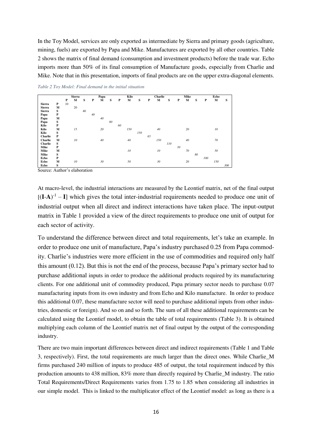In the Toy Model, services are only exported as intermediate by Sierra and primary goods (agriculture, mining, fuels) are exported by Papa and Mike. Manufactures are exported by all other countries. Table 2 shows the matrix of final demand (consumption and investment products) before the trade war. Echo imports more than 50% of its final consumption of Manufacture goods, especially from Charlie and Mike. Note that in this presentation, imports of final products are on the upper extra-diagonal elements.

|                |   |    | <b>Sierra</b> |    |    | Papa |    |    | Kilo |     |    | <b>Charlie</b> |     |    | Mike |    |     | Echo |     |
|----------------|---|----|---------------|----|----|------|----|----|------|-----|----|----------------|-----|----|------|----|-----|------|-----|
|                |   | P  | М             | S  | P  | М    | S  | P  | M    | S   | P  | м              | S   | P  | М    | S  | P   | М    | S   |
| <b>Sierra</b>  | P | 10 |               |    |    |      |    |    |      |     |    |                |     |    |      |    |     |      |     |
| <b>Sierra</b>  | М |    | 20            |    |    |      |    |    |      |     |    |                |     |    |      |    |     |      |     |
| <b>Sierra</b>  | S |    |               | 40 |    |      |    |    |      |     |    |                |     |    |      |    |     |      |     |
| Papa           | P |    |               |    | 40 |      |    |    |      |     |    |                |     |    |      |    |     |      |     |
| Papa           | M |    |               |    |    | 40   |    |    |      |     |    |                |     |    |      |    |     |      |     |
| Papa           | S |    |               |    |    |      | 80 |    |      |     |    |                |     |    |      |    |     |      |     |
| Kilo           | P |    |               |    |    |      |    | 60 |      |     |    |                |     |    |      |    |     |      |     |
| Kilo           | M |    | 15            |    |    | 20   |    |    | 150  |     |    | 40             |     |    | 20   |    |     | 10   |     |
| Kilo           | S |    |               |    |    |      |    |    |      | 150 |    |                |     |    |      |    |     |      |     |
| <b>Charlie</b> | P |    |               |    |    |      |    |    |      |     | 65 |                |     |    |      |    |     |      |     |
| Charlie        | M |    | 10            |    |    | 40   |    |    | 40   |     |    | 150            |     |    | 40   |    |     | 70   |     |
| Charlie        | S |    |               |    |    |      |    |    |      |     |    |                | 110 |    |      |    |     |      |     |
| Mike           | P |    |               |    |    |      |    |    |      |     |    |                |     | 30 |      |    |     |      |     |
| Mike           | М |    |               |    |    |      |    |    | 10   |     |    | 10             |     |    | 70   |    |     | 50   |     |
| Mike           | S |    |               |    |    |      |    |    |      |     |    |                |     |    |      | 80 |     |      |     |
| Echo           | P |    |               |    |    |      |    |    |      |     |    |                |     |    |      |    | 100 |      |     |
| Echo           | М |    | 10            |    |    | 30   |    |    | 50   |     |    | 30             |     |    | 20   |    |     | 150  |     |
| Echo           | S |    |               |    |    |      |    |    |      |     |    |                |     |    |      |    |     |      | 300 |

*Table 2 Toy Model: Final demand in the initial situation* 

Source: Author's elaboration

At macro-level, the industrial interactions are measured by the Leontief matrix, net of the final output  $[(I-A)^{-1} - I]$  which gives the total inter-industrial requirements needed to produce one unit of industrial output when all direct and indirect interactions have taken place. The input-output matrix in Table 1 provided a view of the direct requirements to produce one unit of output for each sector of activity.

To understand the difference between direct and total requirements, let's take an example. In order to produce one unit of manufacture, Papa's industry purchased 0.25 from Papa commodity. Charlie's industries were more efficient in the use of commodities and required only half this amount (0.12). But this is not the end of the process, because Papa's primary sector had to purchase additional inputs in order to produce the additional products required by its manufacturing clients. For one additional unit of commodity produced, Papa primary sector needs to purchase 0.07 manufacturing inputs from its own industry and from Echo and Kilo manufacture. In order to produce this additional 0.07, these manufacture sector will need to purchase additional inputs from other industries, domestic or foreign). And so on and so forth. The sum of all these additional requirements can be calculated using the Leontief model, to obtain the table of total requirements (Table 3). It is obtained multiplying each column of the Leontief matrix net of final output by the output of the corresponding industry.

There are two main important differences between direct and indirect requirements (Table 1 and Table 3, respectively). First, the total requirements are much larger than the direct ones. While Charlie\_M firms purchased 240 million of inputs to produce 485 of output, the total requirement induced by this production amounts to 438 million, 83% more than directly required by Charlie\_M industry. The ratio Total Requirements/Direct Requirements varies from 1.75 to 1.85 when considering all industries in our simple model. This is linked to the multiplicator effect of the Leontief model: as long as there is a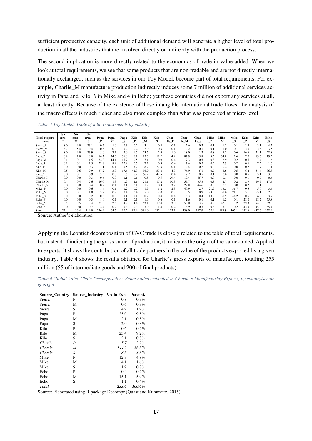sufficient productive capacity, each unit of additional demand will generate a higher level of total production in all the industries that are involved directly or indirectly with the production process.

The second implication is more directly related to the economics of trade in value-added. When we look at total requirements, we see that some products that are non-tradable and are not directly internationally exchanged, such as the services in our Toy Model, become part of total requirements. For example, Charlie M manufacture production indirectly induces some 7 million of additional services activity in Papa and Kilo, 6 in Mike and 4 in Echo; yet these countries did not export any services at all, at least directly. Because of the existence of these intangible international trade flows, the analysis of the macro effects is much richer and also more complex than what was perceived at micro level.

*Table 3 Toy Model: Table of total requirements by industry* 

|                | Si-  | Si-  | Si-   |       |       |       |      |       |       |       |       |       |      |       |       |       |       |       |
|----------------|------|------|-------|-------|-------|-------|------|-------|-------|-------|-------|-------|------|-------|-------|-------|-------|-------|
| Total require- | erra | erra | erra  | Papa  | Papa_ | Papa  | Kilo | Kilo  | Kilo  | Char- | Char- | Char- | Mike | Mike  | Mike  | Echo  | Echo  | Echo  |
| ments          | P    | м    | s     | P     | М     | s     | P    | М     | s     | lie P | lie M | lie S | P    | м     | S     | P     | М     | S     |
| Sierra P       | 8.0  | 9.0  | 23.1  | 0.7   | 1.0   | 0.3   | 0.2  | 3.4   | 0.4   | 0.1   | 2.6   | 0.2   | 0.1  | 1.2   | 0.1   | 2.4   | 3.1   | 4.2   |
| Sierra M       | 8.7  | 15.4 | 19.4  | 0.6   | 0.9   | 0.2   | 0.2  | 2.9   | 0.3   | 0.1   | 2.2   | 0.1   | 0.1  | 1.0   | 0.1   | 2.0   | 2.6   | 3.5   |
| Sierra S       | 8.0  | 9.0  | 23.9  | 5.0   | 7.1   | 2.0   | 1.7  | 23.5  | 2.9   | 1.0   | 18.0  | 1.2   | 0.8  | 8.2   | 0.6   | 16.6  | 21.1  | 28.8  |
| Papa_P         | 0.9  | 1.0  | 18.0  | 84.2  | 24.3  | 36.0  | 6.1  | 85.3  | 11.2  | 4.9   | 87.9  | 5.8   | 3.5  | 34.8  | 2.6   | 7.0   | 89.6  | 19.5  |
| Papa_M         | 0.1  | 0.1  | 1.5   | 32.2  | 14.1  | 16.7  | 0.5  | 7.1   | 0.9   | 0.4   | 7.3   | 0.5   | 0.3  | 2.9   | 0.2   | 0.6   | 7.4   | 1.6   |
| Papa_S         | 0.1  | 0.1  | 1.5   | 32.8  | 8.9   | 27.9  | 0.5  | 7.2   | 0.9   | 0.4   | 7.4   | 0.5   | 0.3  | 2.9   | 0.2   | 0.6   | 7.5   | 1.6   |
| Kilo_P         | 0.0  | 0.0  | 0.3   | 1.1   | 0.1   | 0.5   | 13.7 | 18.7  | 27.5  | 0.1   | 2.4   | 0.2   | 0.0  | 0.2   | 0.0   | 0.2   | 1.7   | 1.1   |
| Kilo_M         | 0.5  | 0.6  | 9.9   | 37.2  | 3.3   | 17.6  | 42.3 | 96.9  | 53.8  | 4.3   | 76.9  | 5.1   | 0.7  | 6.6   | 0.5   | 6.2   | 54.4  | 36.8  |
| Kilo_S         | 0.0  | 0.1  | 0.9   | 3.5   | 0.3   | 1.6   | 16.9 | 56.9  | 42.5  | 0.4   | 7.2   | 0.5   | 0.1  | 0.6   | 0.0   | 0.6   | 5.1   | 3.5   |
| Charlie P      | 0.0  | 0.0  | 0.3   | 0.6   | 0.0   | 0.1   | 0.1  | 0.8   | 0.5   | 29.4  | 19.4  | 45.7  | 0.0  | 0.1   | 0.0   | 0.1   | 0.7   | 0.6   |
| Charlie_M      | 0.4  | 0.4  | 7.6   | 16.0  | 1.3   | 1.9   | 2.1  | 21.1  | 15.2  | 30.3  | 57.7  | 35.8  | 0.3  | 2.7   | 0.2   | 2.9   | 19.7  | 17.4  |
| Charlie S      | 0.0  | 0.0  | 0.4   | 0.9   | 0.1   | 0.1   | 0.1  | l.2   | 0.8   | 23.9  | 29.8  | 44.6  | 0.0  | 0.2   | 0.0   | 0.2   | 1.1   | 1.0   |
| Mike_P         | 0.0  | 0.0  | 0.6   | 1.4   | 0.1   | 0.2   | 0.2  | 1.9   | 1.2   | 2.3   | 40.9  | 2.7   | 21.9 | 18.5  | 31.7  | 0.5   | 5.0   | 3.4   |
| Mike M         | 0.0  | 0.1  | 1.0   | 3.2   | 0.2   | 0.4   | 0.4  | 5.0   | 2.0   | 0.8   | 13.5  | 0.9   | 28.0 | 31.6  | 21.1  | 5.1   | 55.1  | 32.0  |
| Mike_S         | 0.0  | 0.0  | 0.2   | 0.5   | 0.0   | 0.1   | 0.1  | 0.7   | 0.4   | 0.4   | 6.3   | 0.4   | 18.2 | 30.9  | 44.2  | 0.6   | 6.2   | 3.7   |
| Echo_P         | 0.0  | 0.0  | 0.3   | 1.0   | 0.1   | 0.1   | 0.1  | 1.6   | 0.6   | 0.1   | 1.6   | 0.1   | 0.1  | 1.2   | 0.1   | 28.0  | 18.2  | 55.8  |
| Echo_M         | 0.5  | 0.5  | 9.4   | 33.6  | 2.5   | 4.2   | 4.4  | 53.1  | 19.4  | 3.0   | 53.0  | 3.5   | 4.2  | 42.1  | 3.2   | 32.3  | 94.0  | 59.0  |
| Echo_S         | 0.0  | 0.0  | 0.7   | 2.4   | 0.2   | 0.3   | 0.3  | 3.9   | 1.4   | 0.2   | 3.9   | 0.3   | 0.3  | 3.1   | 0.2   | 42.9  | 45.0  | 85.4  |
| Sum:           | 27.4 | 36.4 | 119.0 | 256.9 | 64.5  | 110.2 | 89.9 | 391.0 | 182.1 | 102.1 | 438.0 | 147.9 | 78.9 | 188.9 | 105.1 | 148.6 | 437.6 | 358.9 |

Source: Author's elaboration

Applying the Leontief decomposition of GVC trade is closely related to the table of total requirements, but instead of indicating the gross value of production, it indicates the origin of the value-added. Applied to exports, it shows the contribution of all trade partners in the value of the products exported by a given industry. Table 4 shows the results obtained for Charlie's gross exports of manufacture, totalling 255 million (55 of intermediate goods and 200 of final products).

*Table 4 Global Value Chain Decomposition: Value Added embodied in Charlie's Manufacturing Exports, by country/sector of origin* 

| <b>Source_Country</b> | Source_Industry VA in Exp. |       | Percent. |
|-----------------------|----------------------------|-------|----------|
| Sierra                | P                          | 0.8   | $0.3\%$  |
| Sierra                | М                          | 0.6   | 0.3%     |
| Sierra                | S                          | 4.9   | 1.9%     |
| Papa                  | P                          | 25.0  | 9.8%     |
| Papa                  | М                          | 2.1   | 0.8%     |
| Papa                  | S                          | 2.0   | 0.8%     |
| Kilo                  | P                          | 0.6   | 0.2%     |
| Kilo                  | М                          | 23.4  | 9.2%     |
| Kilo                  | S                          | 2.1   | 0.8%     |
| Charlie               | P                          | 5.7   | 2.2%     |
| Charlie               | M                          | 144.2 | 56.5%    |
| Charlie               | S                          | 8.5   | 3.3%     |
| Mike                  | P                          | 12.3  | 4.8%     |
| Mike                  | М                          | 4.1   | 1.6%     |
| Mike                  | S                          | 1.9   | 0.7%     |
| Echo                  | P                          | 0.4   | 0.2%     |
| Echo                  | М                          | 15.1  | 5.9%     |
| Echo                  | S                          | 1.1   | 0.4%     |
| Total                 |                            | 255.0 | 100.0%   |

Source: Elaborated using R package Decompr (Quast and Kummritz, 2015)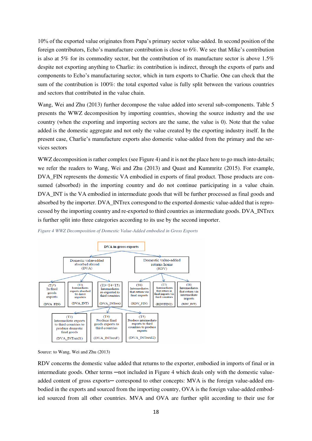10% of the exported value originates from Papa's primary sector value-added. In second position of the foreign contributors, Echo's manufacture contribution is close to 6%. We see that Mike's contribution is also at 5% for its commodity sector, but the contribution of its manufacture sector is above 1.5% despite not exporting anything to Charlie: its contribution is indirect, through the exports of parts and components to Echo's manufacturing sector, which in turn exports to Charlie. One can check that the sum of the contribution is 100%: the total exported value is fully split between the various countries and sectors that contributed in the value chain.

Wang, Wei and Zhu (2013) further decompose the value added into several sub-components. Table 5 presents the WWZ decomposition by importing countries, showing the source industry and the use country (when the exporting and importing sectors are the same, the value is 0). Note that the value added is the domestic aggregate and not only the value created by the exporting industry itself. In the present case, Charlie's manufacture exports also domestic value-added from the primary and the services sectors

WWZ decomposition is rather complex (see Figure 4) and it is not the place here to go much into details; we refer the readers to Wang, Wei and Zhu (2013) and Quast and Kummritz (2015). For example, DVA\_FIN represents the domestic VA embodied in exports of final product. Those products are consumed (absorbed) in the importing country and do not continue participating in a value chain. DVA\_INT is the VA embodied in intermediate goods that will be further processed as final goods and absorbed by the importer. DVA\_INTrex correspond to the exported domestic value-added that is reprocessed by the importing country and re-exported to third countries as intermediate goods. DVA\_INTrex is further split into three categories according to its use by the second importer.



*Figure 4 WWZ Decomposition of Domestic Value-Added embodied in Gross Exports*

Source: to Wang, Wei and Zhu (2013)

RDV concerns the domestic value added that returns to the exporter, embodied in imports of final or in intermediate goods. Other terms —not included in Figure 4 which deals only with the domestic valueadded content of gross exports— correspond to other concepts: MVA is the foreign value-added embodied in the exports and sourced from the importing country, OVA is the foreign value-added embodied sourced from all other countries. MVA and OVA are further split according to their use for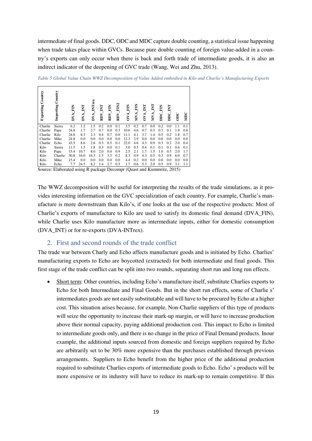intermediate of final goods. DDC, ODC and MDC capture double counting, a statistical issue happening when trade takes place within GVCs. Because pure double counting of foreign value-added in a country's exports can only occur when there is back and forth trade of intermediate goods, it is also an indirect indicator of the deepening of GVC trade (Wang, Wei and Zhu, 2013).

| Country<br>Exporting | Country<br>Importing | <b>NETVAO</b> | DVA_INT | DVA_INTrex | RDV_INT | RDV_FIN | RDV_FIN2 | <b>OVA_FIN</b> | MVA_FIN | <b>DVA_INT</b> | NVA_INT | <b>DDC_FIN</b> | <b>DDC_INT</b> | $_{\rm 50}^{\circ}$ | MDC |
|----------------------|----------------------|---------------|---------|------------|---------|---------|----------|----------------|---------|----------------|---------|----------------|----------------|---------------------|-----|
| Charlie              | Sierra               | 6.2           | 1.2     | 1.5        | 0.2     | 0.0     | 0.1      | 3.5            | 0.2     | 0.7            | 0.0     | 0.2            | 0.0            | 1.1                 | 0.1 |
| Charlie              | Papa                 | 24.8          | 1.7     | 2.7        | 0.7     | 0.0     | 0.3      | 10.6           | 4.6     | 0.7            | 0.3     | 0.7            | 0.1            | 1.9                 | 0.8 |
| Charlie              | Kilo                 | 24.8          | 8.3     | 2.3        | 0.4     | 0.7     | 0.0      | 11.1           | 4.1     | 3.7            | 1.4     | 0.5            | 0.2            | 1.8                 | 0.7 |
| Charlie              | Mike                 | 24.8          | 0.0     | 0.0        | 0.0     | 0.0     | 0.0      | 12.3           | 2.9     | 0.0            | 0.0     | 0.0            | 0.0            | 0.0                 | 0.0 |
| Charlie              | Echo                 | 43.5          | 8.6     | 2.6        | 0.3     | 0.5     | 0.1      | 22.0           | 4.6     | 4.3            | 0.9     | 0.3            | 0.2            | 2.0                 | 0.4 |
| Kilo                 | Sierra               | 11.5          | 1.5     | 1.8        | 0.3     | 0.0     | 0.1      | 3.0            | 0.5     | 0.4            | 0.1     | 0.1            | 0.1            | 0.6                 | 0.1 |
| Kilo                 | Papa                 | 15.4          | 10.7    | 8.0        | 2.0     | 0.0     | 0.9      | 2.5            | 2.1     | 1.7            | 1.5     | 1.0            | 0.5            | 2.0                 | 1.7 |
| Kilo                 | Charlie              | 30.8          | 16.0    | 16.3       | 1.3     | 3.5     | 0.2      | 8.3            | 0.9     | 4.3            | 0.5     | 0.3            | 0.9            | 6.0                 | 0.7 |
| Kilo                 | Mike                 | 15.4          | 0.0     | 0.0        | 0.0     | 0.0     | 0.0      | 4.4            | 0.2     | 0.0            | 0.0     | 0.0            | 0.0            | 0.0                 | 0.0 |
| Kilo                 | Echo                 | 7.7           | 24.5    | 8.2        | 1.4     | 2.7     | 0.3      | 1.7            | 0.6     | 5.3            | 2.0     | 0.5            | 0.9            | 3.1                 | 1.1 |

*Table 5 Global Value Chain WWZ Decomposition of Value Added embodied in Kilo and Charlie's Manufacturing Exports* 

Source: Elaborated using R package Decompr (Quast and Kummritz, 2015)

The WWZ decomposition will be useful for interpreting the results of the trade simulations, as it provides interesting information on the GVC specialization of each country. For example, Charlie's manufacture is more downstream than Kilo's, if one looks at the use of the respective products: Most of Charlie's exports of manufacture to Kilo are used to satisfy its domestic final demand (DVA\_FIN), while Charlie uses Kilo manufacture more as intermediate inputs, either for domestic consumption (DVA\_INT) or for re-exports (DVA-INTrex).

### 2. First and second rounds of the trade conflict

The trade war between Charly and Echo affects manufacture goods and is initiated by Echo. Charlies' manufacturing exports to Echo are boycotted (extracted) for both intermediate and final goods. This first stage of the trade conflict can be split into two rounds, separating short run and long run effects.

• Short term: Other countries, including Echo's manufacture itself, substitute Charlies exports to Echo for both Intermediate and Final Goods. But in the short run effects, some of Charlie s' intermediates goods are not easily substitutable and will have to be procured by Echo at a higher cost. This situation arises because, for example, Non-Charlie suppliers of this type of products will seize the opportunity to increase their mark-up margin, or will have to increase production above their normal capacity, paying additional production cost. This impact to Echo is limited to intermediate goods only, and there is no change in the price of Final Demand products. Inour example, the additional inputs sourced from domestic and foreign suppliers required by Echo are arbitrarily set to be 30% more expensive than the purchases established through previous arrangements. Suppliers to Echo benefit from the higher price of the additional production required to substitute Charlies exports of intermediate goods to Echo. Echo' s products will be more expensive or its industry will have to reduce its mark-up to remain competitive. If this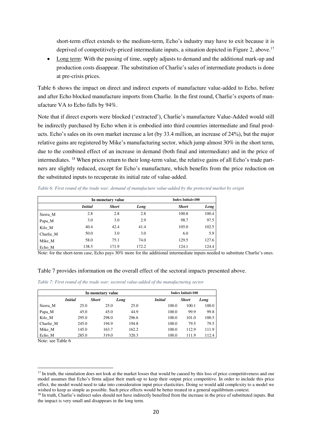short-term effect extends to the medium-term, Echo's industry may have to exit because it is deprived of competitively-priced intermediate inputs, a situation depicted in Figure 2, above.<sup>17</sup>

• Long term: With the passing of time, supply adjusts to demand and the additional mark-up and production costs disappear. The substitution of Charlie's sales of intermediate products is done at pre-crisis prices.

Table 6 shows the impact on direct and indirect exports of manufacture value-added to Echo, before and after Echo blocked manufacture imports from Charlie. In the first round, Charlie's exports of manufacture VA to Echo falls by 94%.

Note that if direct exports were blocked ('extracted'), Charlie's manufacture Value-Added would still be indirectly purchased by Echo when it is embodied into third countries intermediate and final products. Echo's sales on its own market increase a lot (by 33.4 million, an increase of 24%), but the major relative gains are registered by Mike's manufacturing sector, which jump almost 30% in the short term, due to the combined effect of an increase in demand (both final and intermediate) and in the price of intermediates. 18 When prices return to their long-term value, the relative gains of all Echo's trade partners are slightly reduced, except for Echo's manufacture, which benefits from the price reduction on the substituted inputs to recuperate its initial rate of value-added.

*Table 6: First round of the trade war: demand of manufacture value-added by the protected market by origin* 

|           |                | In monetary value |       | <b>Index Initial=100</b> |       |  |  |
|-----------|----------------|-------------------|-------|--------------------------|-------|--|--|
|           | <b>Initial</b> | <b>Short</b>      | Long  | <b>Short</b>             | Long  |  |  |
| Sierra M  | 2.8            | 2.8               | 2.8   | 100.8                    | 100.4 |  |  |
| Papa_M    | 3.0            | 3.0               | 2.9   | 98.7                     | 97.5  |  |  |
| Kilo M    | 40.4           | 42.4              | 41.4  | 105.0                    | 102.5 |  |  |
| Charlie M | 50.0           | 3.0               | 3.0   | 6.0                      | 5.9   |  |  |
| Mike M    | 58.0           | 75.1              | 74.0  | 129.5                    | 127.6 |  |  |
| Echo M    | 138.5          | 171.9             | 172.2 | 124.1                    | 124.4 |  |  |

Note: for the short-term case, Echo pays 30% more for the additional intermediate inputs needed to substitute Charlie's ones.

#### Table 7 provides information on the overall effect of the sectoral impacts presented above.

| Table 7: First round of the trade war: sectoral value-added of the manufacturing sector |  |  |
|-----------------------------------------------------------------------------------------|--|--|
|-----------------------------------------------------------------------------------------|--|--|

|           |                | In monetary value | <b>Index Initial=100</b> |                |              |       |  |  |
|-----------|----------------|-------------------|--------------------------|----------------|--------------|-------|--|--|
|           | <b>Initial</b> | <b>Short</b>      | Long                     | <i>Initial</i> | <b>Short</b> | Long  |  |  |
| Sierra M  | 25.0           | 25.0              | 25.0                     | 100.0          | 100.1        | 100.0 |  |  |
| Papa_M    | 45.0           | 45.0              | 44.9                     | 100.0          | 99.9         | 99.8  |  |  |
| Kilo M    | 295.0          | 298.0             | 296.6                    | 100.0          | 101.0        | 100.5 |  |  |
| Charlie M | 245.0          | 194.9             | 194.8                    | 100.0          | 79.5         | 79.5  |  |  |
| Mike M    | 145.0          | 163.7             | 162.2                    | 100.0          | 112.9        | 111.9 |  |  |
| Echo M    | 285.0          | 319.0             | 320.3                    | 100.0          | 111.9        | 112.4 |  |  |

Note: see Table 6

-

<sup>&</sup>lt;sup>17</sup> In truth, the simulation does not look at the market losses that would be caused by this loss of price competitiveness and our model assumes that Echo's firms adjust their mark-up to keep their output price competitive. In order to include this price effect, the model would need to take into consideration input price elasticities. Doing so would add complexity to a model we wished to keep as simple as possible. Such price effects would be better treated in a general equilibrium context.

<sup>&</sup>lt;sup>18</sup> In truth, Charlie's indirect sales should not have indirectly benefited from the increase in the price of substituted inputs. But the impact is very small and disappears in the long term.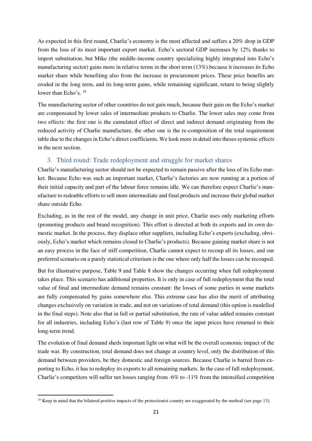As expected in this first round, Charlie's economy is the most affected and suffers a 20% drop in GDP from the loss of its most important export market. Echo's sectoral GDP increases by 12% thanks to import substitution, but Mike (the middle-income country specializing highly integrated into Echo's manufacturing sector) gains more in relative terms in the short term (13%) because it increases its Echo market share while benefiting also from the increase in procurement prices. These price benefits are eroded in the long term, and its long-term gains, while remaining significant, return to being slightly lower than Echo's. <sup>19</sup>

The manufacturing sector of other countries do not gain much, because their gain on the Echo's market are compensated by lower sales of intermediate products to Charlie. The lower sales may come from two effects: the first one is the cumulated effect of direct and indirect demand originating from the reduced activity of Charlie manufacture, the other one is the re-composition of the total requirement table due to the changes in Echo's direct coefficients. We look more in detail into theses systemic effects in the next section.

### 3. Third round: Trade redeployment and struggle for market shares

Charlie's manufacturing sector should not be expected to remain passive after the loss of its Echo market. Because Echo was such an important market, Charlie's factories are now running at a portion of their initial capacity and part of the labour force remains idle. We can therefore expect Charlie's manufacture to redouble efforts to sell more intermediate and final products and increase their global market share outside Echo.

Excluding, as in the rest of the model, any change in unit price, Charlie uses only marketing efforts (promoting products and brand recognition). This effort is directed at both its exports and its own domestic market. In the process, they displace other suppliers, including Echo's exports (excluding, obviously, Echo's market which remains closed to Charlie's products). Because gaining market share is not an easy process in the face of stiff competition, Charlie cannot expect to recoup all its losses, and our preferred scenario on a purely statistical criterium is the one where only half the losses can be recouped.

But for illustrative purpose, Table 9 and Table 8 show the changes occurring when full redeployment takes place. This scenario has additional properties. It is only in case of full redeployment that the total value of final and intermediate demand remains constant: the losses of some parties in some markets are fully compensated by gains somewhere else. This extreme case has also the merit of attributing changes exclusively on variation in trade, and not on variations of total demand (this option is modelled in the final steps). Note also that in full or partial substitution, the rate of value added remains constant for all industries, including Echo's (last row of Table 9) once the input prices have returned to their long-term trend.

The evolution of final demand sheds important light on what will be the overall economic impact of the trade war. By construction, total demand does not change at country level, only the distribution of this demand between providers, be they domestic and foreign sources. Because Charlie is barred from exporting to Echo, it has to redeploy its exports to all remaining markets. In the case of full redeployment, Charlie's competitors will suffer net losses ranging from -6% to -11% from the intensified competition

<u>.</u>

<sup>&</sup>lt;sup>19</sup> Keep in mind that the bilateral positive impacts of the protectionist country are exaggerated by the method (see page 13).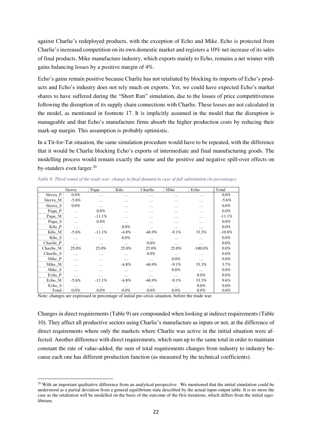against Charlie's redeployed products, with the exception of Echo and Mike. Echo is protected from Charlie's increased competition on its own domestic market and registers a 10% net increase of its sales of final products. Mike manufacture industry, which exports mainly to Echo, remains a net winner with gains balancing losses by a positive margin of 4%.

Echo's gains remain positive because Charlie has not retaliated by blocking its imports of Echo's products and Echo's industry does not rely much on exports. Yet, we could have expected Echo's market shares to have suffered during the "Short Run" simulation, due to the losses of price competitiveness following the disruption of its supply chain connections with Charlie. These losses are not calculated in the model, as mentioned in footnote 17. It is implicitly assumed in the model that the disruption is manageable and that Echo's manufacture firms absorb the higher production costs by reducing their mark-up margin. This assumption is probably optimistic.

In a Tit-for-Tat situation, the same simulation procedure would have to be repeated, with the difference that it would be Charlie blocking Echo's exports of intermediate and final manufacturing goods. The modelling process would remain exactly the same and the positive and negative spill-over effects on by-standers even larger.<sup>20</sup>

|              | <b>Sierra</b> | Papa     | Kilo     | <b>Charlie</b> | <b>Mike</b> | Echo       | <b>Total</b> |
|--------------|---------------|----------|----------|----------------|-------------|------------|--------------|
| Sierra P     | 0.0%          | $\cdots$ | .        | .              | .           | .          | $0.0\%$      |
| Sierra M     | $-5.6%$       | $\cdots$ | .        | .              | .           | .          | $-5.6\%$     |
| Sierra S     | $0.0\%$       | $\cdots$ | .        | .              | .           | .          | $0.0\%$      |
| Papa_P       | $\cdots$      | $0.0\%$  | .        | .              | .           | .          | $0.0\%$      |
| Papa_M       | $\cdots$      | $-11.1%$ | .        | .              | .           | .          | $-11.1%$     |
| Papa_S       | .             | $0.0\%$  | $\cdots$ | .              | .           | .          | $0.0\%$      |
| Kilo_P       | $\cdots$      | $\ddots$ | $0.0\%$  | .              | .           | .          | $0.0\%$      |
| Kilo M       | $-5.6\%$      | $-11.1%$ | $-4.8\%$ | $-46.9\%$      | $-9.1\%$    | 33.3%      | $-10.8\%$    |
| Kilo_S       | $\cdots$      | $\cdots$ | $0.0\%$  | .              | .           | .          | $0.0\%$      |
| Charlie P    | $\cdots$      | $\cdots$ | $\cdots$ | $0.0\%$        | $\cdots$    | $\cdots$   | $0.0\%$      |
| Charlie M    | 25.0%         | 25.0%    | 25.0%    | 25.0%          | 25.0%       | $-100.0\%$ | $0.0\%$      |
| Charlie S    | $\cdots$      | $\cdots$ | .        | $0.0\%$        | $\cdots$    | $\cdots$   | $0.0\%$      |
| Mike_P       | .             | $\cdots$ | .        | $\cdots$       | $0.0\%$     | .          | $0.0\%$      |
| Mike_M       | .             | .        | $-4.8\%$ | $-46.9\%$      | $-9.1\%$    | 33.3%      | 3.7%         |
| Mike S       | .             | $\cdots$ | .        | .              | $0.0\%$     | $\cdots$   | $0.0\%$      |
| Echo_P       | $\cdots$      | $\cdots$ | $\cdots$ | $\cdots$       | $\cdots$    | $0.0\%$    | $0.0\%$      |
| Echo M       | $-5.6\%$      | $-11.1%$ | $-4.8\%$ | $-46.9\%$      | $-9.1\%$    | 33.3%      | 9.6%         |
| Echo S       | $\cdots$      | $\cdots$ | $\cdots$ | $\cdots$       | $\cdots$    | $0.0\%$    | $0.0\%$      |
| <b>Total</b> | $0.0\%$       | $0.0\%$  | $0.0\%$  | $0.0\%$        | $0.0\%$     | 0.0%       | $0.0\%$      |

*Table 8: Third round of the trade war: change in final demand in case of full substitution (in percentage)* 

Note: changes are expressed in percentage of initial pre-crisis situation, before the trade war.

<u>.</u>

Changes in direct requirements (Table 9) are compounded when looking at indirect requirements (Table 10). They affect all productive sectors using Charlie's manufacture as inputs or not, at the difference of direct requirements where only the markets where Charlie was active in the initial situation were affected. Another difference with direct requirements, which sum up to the same total in order to maintain constant the rate of value-added, the sum of total requirements changes from industry to industry because each one has different production function (as measured by the technical coefficients).

<sup>&</sup>lt;sup>20</sup> With an important qualitative difference from an analytical perspective. We mentioned that the initial simulation could be understood as a partial deviation from a general equilibrium state described by the actual input-output table. It is no more the case as the retaliation will be modelled on the basis of the outcome of the first iterations, which differs from the initial equilibrium.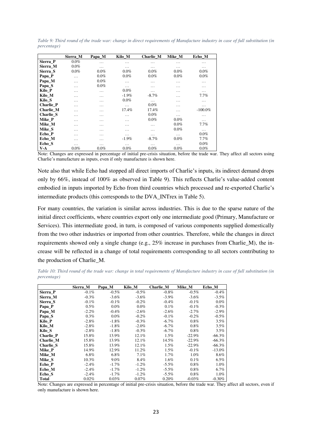|                   | Sierra M | Papa_M  | Kilo_M   | Charlie_M | Mike M  | Echo_M     |
|-------------------|----------|---------|----------|-----------|---------|------------|
| Sierra P          | 0.0%     | .       | .        | .         | .       | .          |
| Sierra M          | $0.0\%$  | .       | .        | .         | .       | .          |
| Sierra S          | $0.0\%$  | $0.0\%$ | $0.0\%$  | $0.0\%$   | $0.0\%$ | $0.0\%$    |
| Papa_P            | .        | 0.0%    | 0.0%     | 0.0%      | 0.0%    | 0.0%       |
| Papa_M            | .        | $0.0\%$ | .        | .         | .       | .          |
| Papa <sub>S</sub> | .        | $0.0\%$ | .        | .         | .       | .          |
| Kilo P            | .        | .       | $0.0\%$  | .         | .       | .          |
| Kilo M            | .        | .       | $-1.9\%$ | $-8.7\%$  | .       | 7.7%       |
| Kilo S            | .        | .       | $0.0\%$  | .         | .       | .          |
| <b>Charlie P</b>  | .        | .       | $\cdots$ | $0.0\%$   | .       | .          |
| Charlie M         | .        | .       | 17.4%    | 17.4%     | .       | $-100.0\%$ |
| Charlie S         | .        | .       | .        | 0.0%      | .       | .          |
| Mike P            | .        | .       | $\cdots$ | $0.0\%$   | $0.0\%$ | .          |
| Mike M            | .        | .       | $\cdots$ | .         | 0.0%    | 7.7%       |
| Mike S            | .        | .       | .        | .         | 0.0%    | .          |
| Echo P            | .        | .       | .        | .         | .       | 0.0%       |
| Echo M            | .        | .       | $-1.9%$  | $-8.7%$   | $0.0\%$ | 7.7%       |
| Echo S            | .        | .       | $\cdots$ | .         | .       | 0.0%       |
| $V-A$             | $0.0\%$  | $0.0\%$ | $0.0\%$  | $0.0\%$   | $0.0\%$ | $0.0\%$    |

*Table 9: Third round of the trade war: change in direct requirements of Manufacture industry in case of full substitution (in percentage)* 

Note: Changes are expressed in percentage of initial pre-crisis situation, before the trade war. They affect all sectors using Charlie's manufacture as inputs, even if only manufacture is shown here.

Note also that while Echo had stopped all direct imports of Charlie's inputs, its indirect demand drops only by 66%, instead of 100% as observed in Table 9). This reflects Charlie's value-added content embodied in inputs imported by Echo from third countries which processed and re-exported Charlie's intermediate products (this corresponds to the DVA\_INTrex in Table 5).

For many countries, the variation is similar across industries. This is due to the sparse nature of the initial direct coefficients, where countries export only one intermediate good (Primary, Manufacture or Services). This intermediate good, in turn, is composed of various components supplied domestically from the two other industries or imported from other countries. Therefore, while the changes in direct requirements showed only a single change (e.g., 25% increase in purchases from Charlie\_M), the increase will be reflected in a change of total requirements corresponding to all sectors contributing to the production of Charlie\_M.

*Table 10: Third round of the trade war: change in total requirements of Manufacture industry in case of full substitution (in percentage)* 

|                  | Sierra M | Papa_M   | Kilo_M   | Charlie M | Mike M   | Echo M    |
|------------------|----------|----------|----------|-----------|----------|-----------|
| Sierra P         | $-0.1\%$ | $-0.5\%$ | $-0.5\%$ | $-0.8\%$  | $-0.5\%$ | $-0.4%$   |
| Sierra M         | $-0.3\%$ | $-3.6\%$ | $-3.6\%$ | $-3.9\%$  | $-3.6\%$ | $-3.5%$   |
| Sierra S         | $-0.1\%$ | $-0.1\%$ | $-0.2\%$ | $-0.4%$   | $-0.1\%$ | $0.0\%$   |
| Papa_P           | 0.5%     | $0.0\%$  | $0.0\%$  | 0.1%      | $-0.1\%$ | $-0.3\%$  |
| Papa M           | $-2.2\%$ | $-0.4\%$ | $-2.6%$  | $-2.6%$   | $-2.7%$  | $-2.9%$   |
| Papa_S           | 0.3%     | $0.0\%$  | $-0.2\%$ | $-0.1\%$  | $-0.2\%$ | $-0.5\%$  |
| Kilo P           | $-2.8%$  | $-1.8\%$ | $-0.3\%$ | $-6.7\%$  | $0.8\%$  | 3.5%      |
| Kilo_M           | $-2.8%$  | $-1.8\%$ | $-2.0\%$ | $-6.7\%$  | $0.8\%$  | 3.5%      |
| Kilo S           | $-2.8%$  | $-1.8\%$ | $-0.3\%$ | $-6.7\%$  | $0.8\%$  | 3.5%      |
| <b>Charlie P</b> | 15.8%    | 13.9%    | 12.1%    | $1.5\%$   | $-22.9%$ | $-66.3%$  |
| Charlie M        | 15.8%    | 13.9%    | 12.1%    | 14.5%     | $-22.9%$ | $-66.3%$  |
| Charlie S        | 15.8%    | 13.9%    | 12.1%    | $1.5\%$   | $-22.9%$ | $-66.3%$  |
| Mike_P           | 14.9%    | 12.9%    | 11.2%    | $1.5\%$   | $-0.1\%$ | $-13.0\%$ |
| Mike_M           | 6.8%     | $6.8\%$  | 7.1%     | 1.7%      | $1.0\%$  | 8.6%      |
| Mike S           | 10.3%    | $9.0\%$  | 8.4%     | $1.6\%$   | 0.1%     | 6.5%      |
| Echo P           | $-2.4%$  | $-1.7\%$ | $-1.2\%$ | $-5.5\%$  | $0.8\%$  | $1.0\%$   |
| Echo_M           | $-2.4%$  | $-1.7\%$ | $-1.2\%$ | $-5.5\%$  | $0.8\%$  | 6.7%      |
| Echo S           | $-2.4%$  | $-1.7\%$ | $-1.2\%$ | $-5.5\%$  | 0.8%     | 1.0%      |
| <b>Total</b>     | 0.02%    | 0.03%    | $0.07\%$ | 0.20%     | $-0.03%$ | $-0.30%$  |

Note: Changes are expressed in percentage of initial pre-crisis situation, before the trade war. They affect all sectors, even if only manufacture is shown here.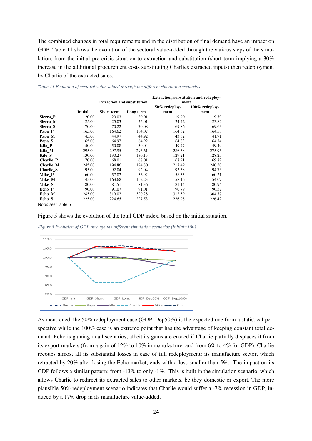The combined changes in total requirements and in the distribution of final demand have an impact on GDP. Table 11 shows the evolution of the sectoral value-added through the various steps of the simulation, from the initial pre-crisis situation to extraction and substitution (short term implying a 30% increase in the additional procurement costs substituting Charlies extracted inputs) then redeployment by Charlie of the extracted sales.

|           |                |                                    |           | Extraction, substitution and redeploy-<br>ment |                   |  |  |
|-----------|----------------|------------------------------------|-----------|------------------------------------------------|-------------------|--|--|
|           |                | <b>Extraction and substitution</b> |           |                                                |                   |  |  |
|           |                |                                    |           | 50% redeploy-                                  | $100\%$ redeploy- |  |  |
|           | <b>Initial</b> | <b>Short term</b>                  | Long term | ment                                           | ment              |  |  |
| Sierra P  | 20.00          | 20.03                              | 20.01     | 19.90                                          | 19.79             |  |  |
| Sierra_M  | 25.00          | 25.03                              | 25.01     | 24.42                                          | 23.82             |  |  |
| Sierra S  | 70.00          | 70.22                              | 70.08     | 69.86                                          | 69.63             |  |  |
| Papa_P    | 165.00         | 164.62                             | 164.07    | 164.32                                         | 164.58            |  |  |
| Papa_M    | 45.00          | 44.97                              | 44.92     | 43.32                                          | 41.71             |  |  |
| Papa_S    | 65.00          | 64.97                              | 64.92     | 64.83                                          | 64.74             |  |  |
| Kilo P    | 50.00          | 50.08                              | 50.04     | 49.77                                          | 49.49             |  |  |
| Kilo_M    | 295.00         | 297.95                             | 296.61    | 286.38                                         | 275.95            |  |  |
| Kilo S    | 130.00         | 130.27                             | 130.15    | 129.21                                         | 128.25            |  |  |
| Charlie P | 70.00          | 68.01                              | 68.01     | 68.91                                          | 69.82             |  |  |
| Charlie M | 245.00         | 194.86                             | 194.80    | 217.49                                         | 240.50            |  |  |
| Charlie S | 95.00          | 92.04                              | 92.04     | 93.38                                          | 94.73             |  |  |
| Mike P    | 60.00          | 57.02                              | 56.92     | 58.55                                          | 60.21             |  |  |
| Mike_M    | 145.00         | 163.68                             | 162.23    | 158.16                                         | 154.07            |  |  |
| Mike_S    | 80.00          | 81.51                              | 81.36     | 81.14                                          | 80.94             |  |  |
| Echo P    | 90.00          | 91.07                              | 91.01     | 90.79                                          | 90.57             |  |  |
| Echo_M    | 285.00         | 319.02                             | 320.28    | 312.59                                         | 304.77            |  |  |
| Echo_S    | 225.00         | 224.65                             | 227.53    | 226.98                                         | 226.42            |  |  |

*Table 11 Evolution of sectoral value-added through the different simulation scenarios* 

Note: see Table 6

#### Figure 5 shows the evolution of the total GDP index, based on the initial situation.



*Figure 5 Evolution of GDP through the different simulation scenarios (Initial=100)* 

As mentioned, the 50% redeployment case (GDP\_Dep50%) is the expected one from a statistical perspective while the 100% case is an extreme point that has the advantage of keeping constant total demand. Echo is gaining in all scenarios, albeit its gains are eroded if Charlie partially displaces it from its export markets (from a gain of 12% to 10% in manufacture, and from 6% to 4% for GDP). Charlie recoups almost all its substantial losses in case of full redeployment: its manufacture sector, which retracted by 20% after losing the Echo market, ends with a loss smaller than 5%. The impact on its GDP follows a similar pattern: from -13% to only -1%. This is built in the simulation scenario, which allows Charlie to redirect its extracted sales to other markets, be they domestic or export. The more plausible 50% redeployment scenario indicates that Charlie would suffer a -7% recession in GDP, induced by a 17% drop in its manufacture value-added.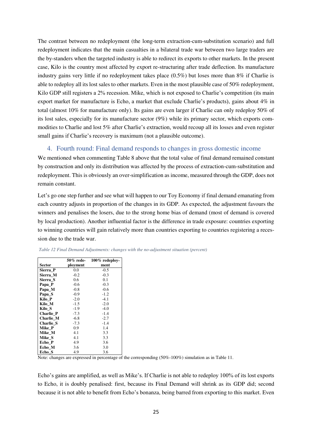The contrast between no redeployment (the long-term extraction-cum-substitution scenario) and full redeployment indicates that the main casualties in a bilateral trade war between two large traders are the by-standers when the targeted industry is able to redirect its exports to other markets. In the present case, Kilo is the country most affected by export re-structuring after trade deflection. Its manufacture industry gains very little if no redeployment takes place (0.5%) but loses more than 8% if Charlie is able to redeploy all its lost sales to other markets. Even in the most plausible case of 50% redeployment, Kilo GDP still registers a 2% recession. Mike, which is not exposed to Charlie's competition (its main export market for manufacture is Echo, a market that exclude Charlie's products), gains about 4% in total (almost 10% for manufacture only). Its gains are even larger if Charlie can only redeploy 50% of its lost sales, especially for its manufacture sector (9%) while its primary sector, which exports commodities to Charlie and lost 5% after Charlie's extraction, would recoup all its losses and even register small gains if Charlie's recovery is maximum (not a plausible outcome).

### 4. Fourth round: Final demand responds to changes in gross domestic income

We mentioned when commenting Table 8 above that the total value of final demand remained constant by construction and only its distribution was affected by the process of extraction-cum-substitution and redeployment. This is obviously an over-simplification as income, measured through the GDP, does not remain constant.

Let's go one step further and see what will happen to our Toy Economy if final demand emanating from each country adjusts in proportion of the changes in its GDP. As expected, the adjustment favours the winners and penalises the losers, due to the strong home bias of demand (most of demand is covered by local production). Another influential factor is the difference in trade exposure: countries exporting to winning countries will gain relatively more than countries exporting to countries registering a recession due to the trade war.

|           | 50% rede- | $100\%$ redeploy- |  |  |  |
|-----------|-----------|-------------------|--|--|--|
| Sector    | ployment  | ment              |  |  |  |
| Sierra P  | 0.0       | $-0.5$            |  |  |  |
| Sierra M  | $-0.2$    | $-0.3$            |  |  |  |
| Sierra S  | 0.6       | 0.1               |  |  |  |
| Papa_P    | $-0.6$    | $-0.3$            |  |  |  |
| Papa_M    | $-0.8$    | $-0.6$            |  |  |  |
| Papa_S    | $-0.9$    | $-1.2$            |  |  |  |
| Kilo_P    | $-2.0$    | $-4.1$            |  |  |  |
| Kilo M    | $-1.5$    | $-2.0$            |  |  |  |
| Kilo S    | $-1.9$    | $-4.0$            |  |  |  |
| Charlie P | $-7.3$    | $-1.4$            |  |  |  |
| Charlie M | $-6.8$    | $-2.7$            |  |  |  |
| Charlie S | $-7.3$    | $-1.4$            |  |  |  |
| Mike_P    | 0.9       | 1.4               |  |  |  |
| Mike_M    | 4.1       | 3.3               |  |  |  |
| Mike_S    | 4.1       | 3.3               |  |  |  |
| Echo_P    | 4.9       | 3.6               |  |  |  |
| Echo M    | 3.6       | 3.0               |  |  |  |
| Echo S    | 4.9       | 3.6               |  |  |  |

 *Table 12 Final Demand Adjustments: changes with the no-adjustment situation (percent)* 

Note: changes are expressed in percentage of the corresponding (50%-100%) simulation as in Table 11.

Echo's gains are amplified, as well as Mike's. If Charlie is not able to redeploy 100% of its lost exports to Echo, it is doubly penalised: first, because its Final Demand will shrink as its GDP did; second because it is not able to benefit from Echo's bonanza, being barred from exporting to this market. Even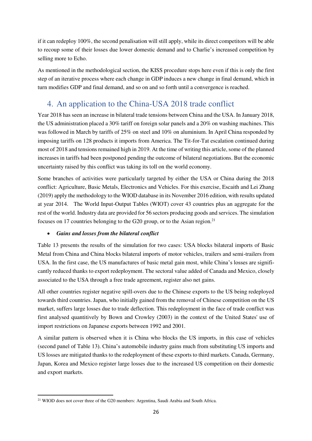if it can redeploy 100%, the second penalisation will still apply, while its direct competitors will be able to recoup some of their losses due lower domestic demand and to Charlie's increased competition by selling more to Echo.

As mentioned in the methodological section, the KISS procedure stops here even if this is only the first step of an iterative process where each change in GDP induces a new change in final demand, which in turn modifies GDP and final demand, and so on and so forth until a convergence is reached.

### 4. An application to the China-USA 2018 trade conflict

Year 2018 has seen an increase in bilateral trade tensions between China and the USA. In January 2018, the US administration placed a 30% tariff on foreign solar panels and a 20% on washing machines. This was followed in March by tariffs of 25% on steel and 10% on aluminium. In April China responded by imposing tariffs on 128 products it imports from America. The Tit-for-Tat escalation continued during most of 2018 and tensions remained high in 2019. At the time of writing this article, some of the planned increases in tariffs had been postponed pending the outcome of bilateral negotiations. But the economic uncertainty raised by this conflict was taking its toll on the world economy.

Some branches of activities were particularly targeted by either the USA or China during the 2018 conflict: Agriculture, Basic Metals, Electronics and Vehicles. For this exercise, Escaith and Lei Zhang (2019) apply the methodology to the WIOD database in its November 2016 edition, with results updated at year 2014. The World Input-Output Tables (WIOT) cover 43 countries plus an aggregate for the rest of the world. Industry data are provided for 56 sectors producing goods and services. The simulation focuses on 17 countries belonging to the G20 group, or to the Asian region.<sup>21</sup>

### • *Gains and losses from the bilateral conflict*

Table 13 presents the results of the simulation for two cases: USA blocks bilateral imports of Basic Metal from China and China blocks bilateral imports of motor vehicles, trailers and semi-trailers from USA. In the first case, the US manufactures of basic metal gain most, while China's losses are significantly reduced thanks to export redeployment. The sectoral value added of Canada and Mexico, closely associated to the USA through a free trade agreement, register also net gains.

All other countries register negative spill-overs due to the Chinese exports to the US being redeployed towards third countries. Japan, who initially gained from the removal of Chinese competition on the US market, suffers large losses due to trade deflection. This redeployment in the face of trade conflict was first analysed quantitively by Bown and Crowley (2003) in the context of the United States' use of import restrictions on Japanese exports between 1992 and 2001.

A similar pattern is observed when it is China who blocks the US imports, in this case of vehicles (second panel of Table 13). China's automobile industry gains much from substituting US imports and US losses are mitigated thanks to the redeployment of these exports to third markets. Canada, Germany, Japan, Korea and Mexico register large losses due to the increased US competition on their domestic and export markets.

<u>.</u>

<sup>21</sup> WIOD does not cover three of the G20 members: Argentina, Saudi Arabia and South Africa.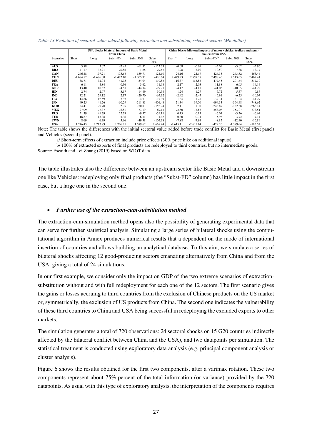*Table 13 Evolution of sectoral value-added following extraction and substitution, selected sectors (Mn dollar)* 

|            | <b>USA blocks bilateral imports of Basic Metal</b><br>from China |            |             |              |           | China blocks bilateral imports of motor vehicles, trailers and semi-<br>trailers from USA |            |                       |            |           |
|------------|------------------------------------------------------------------|------------|-------------|--------------|-----------|-------------------------------------------------------------------------------------------|------------|-----------------------|------------|-----------|
| Scenarios  | Short                                                            | Long       | Subst-FD    | Subst $50\%$ | Subst     | Short <sup>a</sup>                                                                        | Long       | Subst-FD <sup>b</sup> | Subst 50%  | Subst     |
|            |                                                                  |            |             |              | 100%      |                                                                                           |            |                       |            | 100%      |
| <b>AUS</b> | 3.88                                                             | 3.07       | $-7.45$     | $-61.52$     | $-122.33$ | $-0.08$                                                                                   | $-0.09$    | $-5.09$               | $-3.02$    | $-5.96$   |
| <b>BRA</b> | 41.17                                                            | 33.21      | 20.85       | 1.28         | $-29.67$  | $-1.98$                                                                                   | $-2.00$    | $-10.50$              | $-7.88$    | $-13.77$  |
| <b>CAN</b> | 246.48                                                           | 197.21     | 175.68      | 159.71       | 124.10    | $-24.16$                                                                                  | $-24.17$   | $-426.35$             | $-243.82$  | $-463.44$ |
| <b>CHN</b> | $-1684.57$                                                       | $-1686.00$ | $-1$ 412.10 | $-1005.37$   | $-420.64$ | 2449.73                                                                                   | 2559.78    | 2498.46               | 2 513.65   | 2 467.41  |
| <b>DEU</b> | 38.71                                                            | 32.04      | $-41.35$    | $-54.04$     | $-119.83$ | 116.37                                                                                    | 113.88     | $-477.45$             | $-201.64$  | $-517.30$ |
| <b>FRA</b> | 6.11                                                             | 4.84       | 0.36        | $-3.62$      | $-11.68$  | 2.17                                                                                      | 2.03       | $-11.88$              | $-6.05$    | $-14.14$  |
| GBR        | 13.40                                                            | 10.67      | $-4.51$     | $-44.34$     | $-97.21$  | 24.17                                                                                     | 24.11      | $-41.03$              | $-10.05$   | $-44.22$  |
| <b>IDN</b> | 2.74                                                             | 2.07       | $-3.17$     | $-14.49$     | $-30.54$  | $-1.24$                                                                                   | $-1.27$    | $-7.72$               | $-5.57$    | $-9.87$   |
| <b>IND</b> | 32.21                                                            | 29.12      | 2.17        | $-20.70$     | $-65.32$  | $-2.42$                                                                                   | $-2.45$    | $-6.91$               | $-6.25$    | $-10.07$  |
| <b>ITA</b> | 14.86                                                            | 12.59      | $-7.93$     | $-4.71$      | $-17.99$  | 1.84                                                                                      | 1.78       | $-39.74$              | $-21.24$   | $-44.27$  |
| <b>JPN</b> | 49.25                                                            | 41.26      | $-60.29$    | $-211.83$    | $-401.48$ | 21.34                                                                                     | 19.50      | $-694.33$             | $-364.48$  | $-748.62$ |
| <b>KOR</b> | 34.41                                                            | 27.70      | 2.05        | $-70.87$     | $-152.24$ | 2.11                                                                                      | 1.30       | $-246.87$             | $-132.38$  | $-266.14$ |
| <b>MEX</b> | 97.09                                                            | 77.37      | 76.81       | 73.19        | 69.13     | $-72.80$                                                                                  | $-72.86$   | $-553.08$             | $-353.07$  | $-633.51$ |
| <b>RUS</b> | 51.39                                                            | 41.79      | 22.78       | $-9.57$      | $-59.11$  | 0.15                                                                                      | 0.13       | $-6.07$               | $-3.26$    | $-6.64$   |
| TUR        | 18.87                                                            | 15.38      | 5.36        | 6.31         | $-1.42$   | $-0.30$                                                                                   | $-0.31$    | $-5.93$               | $-3.72$    | $-7.14$   |
| <b>TWN</b> | 8.69                                                             | 6.39       | 5.96        | $-49.58$     | $-105.38$ | $-7.88$                                                                                   | $-7.94$    | $-8.85$               | $-12.40$   | $-16.89$  |
| <b>USA</b> | 1746.45                                                          | 1713.99    | 1 706.25    | 1 689.62     | 1 668.44  | $-2615.11$                                                                                | $-2615.14$ | $-429.26$             | $-1399.64$ | $-183.52$ |

Note: The table shows the differences with the initial sectoral value added before trade conflict for Basic Metal (first panel) and Vehicles (second panel).

a/ Short-term effects of extraction include price effects (30% price hike on additional inputs).

b/ 100% of extracted exports of final products are redeployed to third countries, but no intermediate goods. Source: Escaith and Lei Zhang (2019) based on WIOT data

The table illustrates also the difference between an upstream sector like Basic Metal and a downstream one like Vehicles: redeploying only final products (the "Subst-FD" column) has little impact in the first case, but a large one in the second one.

#### • *Further use of the extraction-cum-substitution method*

The extraction-cum-simulation method opens also the possibility of generating experimental data that can serve for further statistical analysis. Simulating a large series of bilateral shocks using the computational algorithm in Annex produces numerical results that a dependent on the mode of international insertion of countries and allows building an analytical database. To this aim, we simulate a series of bilateral shocks affecting 12 good-producing sectors emanating alternatively from China and from the USA, giving a total of 24 simulations.

In our first example, we consider only the impact on GDP of the two extreme scenarios of extractionsubstitution without and with full redeployment for each one of the 12 sectors. The first scenario gives the gains or losses accruing to third countries from the exclusion of Chinese products on the US market or, symmetrically, the exclusion of US products from China. The second one indicates the vulnerability of these third countries to China and USA being successful in redeploying the excluded exports to other markets.

The simulation generates a total of 720 observations: 24 sectoral shocks on 15 G20 countries indirectly affected by the bilateral conflict between China and the USA), and two datapoints per simulation. The statistical treatment is conducted using exploratory data analysis (e.g. principal component analysis or cluster analysis).

Figure 6 shows the results obtained for the first two components, after a varimax rotation. These two components represent about 75% percent of the total information (or variance) provided by the 720 datapoints. As usual with this type of exploratory analysis, the interpretation of the components requires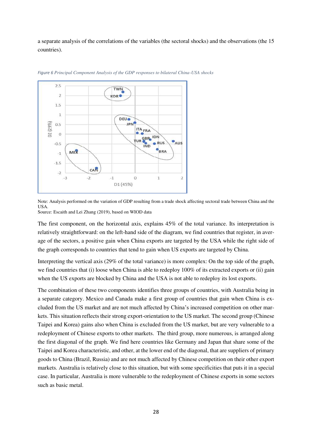a separate analysis of the correlations of the variables (the sectoral shocks) and the observations (the 15 countries).





Note: Analysis performed on the variation of GDP resulting from a trade shock affecting sectoral trade between China and the USA. Source: Escaith and Lei Zhang (2019), based on WIOD data

The first component, on the horizontal axis, explains 45% of the total variance. Its interpretation is relatively straightforward: on the left-hand side of the diagram, we find countries that register, in average of the sectors, a positive gain when China exports are targeted by the USA while the right side of the graph corresponds to countries that tend to gain when US exports are targeted by China.

Interpreting the vertical axis (29% of the total variance) is more complex: On the top side of the graph, we find countries that (i) loose when China is able to redeploy 100% of its extracted exports or (ii) gain when the US exports are blocked by China and the USA is not able to redeploy its lost exports.

The combination of these two components identifies three groups of countries, with Australia being in a separate category. Mexico and Canada make a first group of countries that gain when China is excluded from the US market and are not much affected by China's increased competition on other markets. This situation reflects their strong export-orientation to the US market. The second group (Chinese Taipei and Korea) gains also when China is excluded from the US market, but are very vulnerable to a redeployment of Chinese exports to other markets. The third group, more numerous, is arranged along the first diagonal of the graph. We find here countries like Germany and Japan that share some of the Taipei and Korea characteristic, and other, at the lower end of the diagonal, that are suppliers of primary goods to China (Brazil, Russia) and are not much affected by Chinese competition on their other export markets. Australia is relatively close to this situation, but with some specificities that puts it in a special case. In particular, Australia is more vulnerable to the redeployment of Chinese exports in some sectors such as basic metal.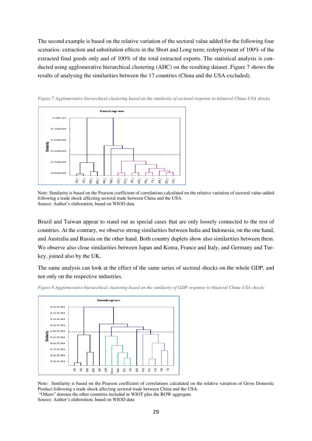The second example is based on the relative variation of the sectoral value added for the following four scenarios: extraction and substitution effects in the Short and Long term; redeployment of 100% of the extracted final goods only and of 100% of the total extracted exports. The statistical analysis is conducted using agglomerative hierarchical clustering (AHC) on the resulting dataset. Figure 7 shows the results of analysing the similarities between the 17 countries (China and the USA excluded).



*Figure 7 Agglomerative hierarchical clustering based on the similarity of sectoral response to bilateral China-USA shocks* 

Brazil and Taiwan appear to stand out as special cases that are only loosely connected to the rest of countries. At the contrary, we observe strong similarities between India and Indonesia, on the one hand, and Australia and Russia on the other hand. Both country duplets show also similarities between them. We observe also close similarities between Japan and Korea, France and Italy, and Germany and Turkey, joined also by the UK.

The same analysis can look at the effect of the same series of sectoral shocks on the whole GDP, and not only on the respective industries.



*Figure 8 Agglomerative hierarchical clustering based on the similarity of GDP response to bilateral China-USA shocks* 

Note: Similarity is based on the Pearson coefficient of correlations calculated on the relative variation of Gross Domestic Product following a trade shock affecting sectoral trade between China and the USA. "Others" denotes the other countries included in WIOT plus the ROW aggregate. Source: Author's elaboration, based on WIOD data

Note: Similarity is based on the Pearson coefficient of correlations calculated on the relative variation of sectoral value-added following a trade shock affecting sectoral trade between China and the USA. Source: Author's elaboration, based on WIOD data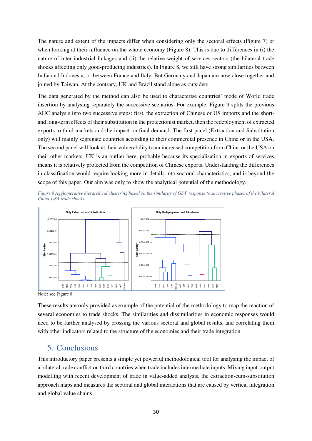The nature and extent of the impacts differ when considering only the sectoral effects (Figure 7) or when looking at their influence on the whole economy (Figure 8). This is due to differences in (i) the nature of inter-industrial linkages and (ii) the relative weight of services sectors (the bilateral trade shocks affecting only good-producing industries). In Figure 8, we still have strong similarities between India and Indonesia, or between France and Italy. But Germany and Japan are now close together and joined by Taiwan. At the contrary, UK and Brazil stand alone as outsiders.

The data generated by the method can also be used to characterise countries' mode of World trade insertion by analysing separately the successive scenarios. For example, Figure 9 splits the previous AHC analysis into two successive steps: first, the extraction of Chinese or US imports and the shortand long-term effects of their substitution in the protectionist market, then the redeployment of extracted exports to third markets and the impact on final demand. The first panel (Extraction and Substitution only) will mainly segregate countries according to their commercial presence in China or in the USA. The second panel will look at their vulnerability to an increased competition from China or the USA on their other markets. UK is an outlier here, probably because its specialisation in exports of services means it is relatively protected from the competition of Chinese exports. Understanding the differences in classification would require looking more in details into sectoral characteristics, and is beyond the scope of this paper. Our aim was only to show the analytical potential of the methodology.

*Figure 9 Agglomerative hierarchical clustering based on the similarity of GDP response to successive phases of the bilateral China-USA trade shocks* 



Note: see Figure 8

These results are only provided as example of the potential of the methodology to map the reaction of several economies to trade shocks. The similarities and dissimilarities in economic responses would need to be further analysed by crossing the various sectoral and global results, and correlating them with other indicators related to the structure of the economies and their trade integration.

### 5. Conclusions

This introductory paper presents a simple yet powerful methodological tool for analysing the impact of a bilateral trade conflict on third countries when trade includes intermediate inputs. Mixing input-output modelling with recent development of trade in value-added analysis, the extraction-cum-substitution approach maps and measures the sectoral and global interactions that are caused by vertical integration **Example 1**<br>  $\frac{5}{2}$   $\frac{2}{3}$   $\frac{2}{3}$   $\frac{2}{3}$   $\frac{2}{3}$   $\frac{2}{3}$   $\frac{2}{3}$   $\frac{2}{3}$   $\frac{2}{3}$  These results are only pr<br>
several economies to tra<br>
need to be further analy<br>
with other indicators rela<br>
5. Conclusi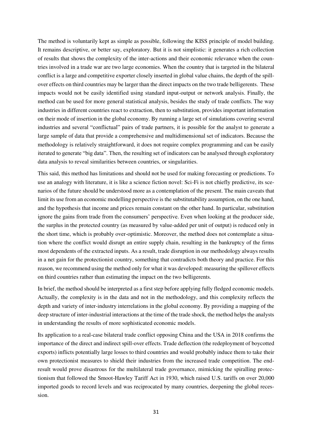The method is voluntarily kept as simple as possible, following the KISS principle of model building. It remains descriptive, or better say, exploratory. But it is not simplistic: it generates a rich collection of results that shows the complexity of the inter-actions and their economic relevance when the countries involved in a trade war are two large economies. When the country that is targeted in the bilateral conflict is a large and competitive exporter closely inserted in global value chains, the depth of the spillover effects on third countries may be larger than the direct impacts on the two trade belligerents. These impacts would not be easily identified using standard input-output or network analysis. Finally, the method can be used for more general statistical analysis, besides the study of trade conflicts. The way industries in different countries react to extraction, then to substitution, provides important information on their mode of insertion in the global economy. By running a large set of simulations covering several industries and several "conflictual" pairs of trade partners, it is possible for the analyst to generate a large sample of data that provide a comprehensive and multidimensional set of indicators. Because the methodology is relatively straightforward, it does not require complex programming and can be easily iterated to generate "big data". Then, the resulting set of indicators can be analysed through exploratory data analysis to reveal similarities between countries, or singularities.

This said, this method has limitations and should not be used for making forecasting or predictions. To use an analogy with literature, it is like a science fiction novel: Sci-Fi is not chiefly predictive, its scenarios of the future should be understood more as a contemplation of the present. The main caveats that limit its use from an economic modelling perspective is the substitutability assumption, on the one hand, and the hypothesis that income and prices remain constant on the other hand. In particular, substitution ignore the gains from trade from the consumers' perspective. Even when looking at the producer side, the surplus in the protected country (as measured by value-added per unit of output) is reduced only in the short time, which is probably over-optimistic. Moreover, the method does not contemplate a situation where the conflict would disrupt an entire supply chain, resulting in the bankruptcy of the firms most dependents of the extracted inputs. As a result, trade disruption in our methodology always results in a net gain for the protectionist country, something that contradicts both theory and practice. For this reason, we recommend using the method only for what it was developed: measuring the spillover effects on third countries rather than estimating the impact on the two belligerents.

In brief, the method should be interpreted as a first step before applying fully fledged economic models. Actually, the complexity is in the data and not in the methodology, and this complexity reflects the depth and variety of inter-industry interrelations in the global economy. By providing a mapping of the deep structure of inter-industrial interactions at the time of the trade shock, the method helps the analysts in understanding the results of more sophisticated economic models.

Its application to a real-case bilateral trade conflict opposing China and the USA in 2018 confirms the importance of the direct and indirect spill-over effects. Trade deflection (the redeployment of boycotted exports) inflicts potentially large losses to third countries and would probably induce them to take their own protectionist measures to shield their industries from the increased trade competition. The endresult would prove disastrous for the multilateral trade governance, mimicking the spiralling protectionism that followed the Smoot-Hawley Tariff Act in 1930, which raised U.S. tariffs on over 20,000 imported goods to record levels and was reciprocated by many countries, deepening the global recession.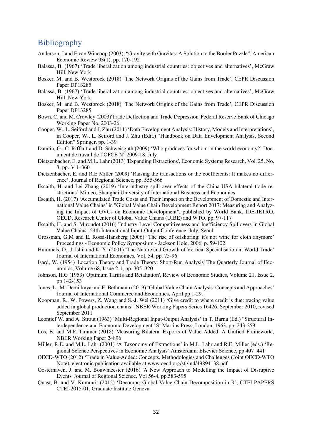### **Bibliography**

- Anderson, J and E van Wincoop (2003), "Gravity with Gravitas: A Solution to the Border Puzzle", American Economic Review 93(1), pp. 170-192
- Balassa, B. (1967) 'Trade liberalization among industrial countries: objectives and alternatives', McGraw Hill, New York
- Bosker, M. and B. Westbrock (2018) 'The Network Origins of the Gains from Trade', CEPR Discussion Paper DP13285
- Balassa, B. (1967) 'Trade liberalization among industrial countries: objectives and alternatives', McGraw Hill, New York
- Bosker, M. and B. Westbrock (2018) 'The Network Origins of the Gains from Trade', CEPR Discussion Paper DP13285
- Bown, C. and M. Crowley (2003)'Trade Deflection and Trade Depression' Federal Reserve Bank of Chicago Working Paper No. 2003-26.
- Cooper, W., L. Seiford and J. Zhu (2011) 'Data Envelopment Analysis: History, Models and Interpretations', in Cooper, W., L. Seiford and J. Zhu (Edit.) "Handbook on Data Envelopment Analysis, Second Edition" Springer, pp. 1-39
- Daudin, G., C. Rifflart and D. Schweisguth (2009) 'Who produces for whom in the world economy?' Document de travail de l'OFCE N° 2009-18, July
- Dietzenbacher, E. and M.L. Lahr (2013) 'Expanding Extractions', Economic Systems Research, Vol. 25, No. 3, pp. 341–360
- Dietzenbacher, E. and R.E Miller (2009) 'Raising the transactions or the coefficients: It makes no difference'. Journal of Regional Science, pp. 555-566
- Escaith, H. and Lei Zhang (2019) 'Interindustry spill-over effects of the China-USA bilateral trade restrictions' Mimeo, Shanghai University of International Business and Economics
- Escaith, H. (2017) 'Accumulated Trade Costs and Their Impact on the Development of Domestic and International Value Chains' in "Global Value Chain Development Report 2017: Measuring and Analyzing the Impact of GVCs on Economic Development", published by World Bank, IDE-JETRO, OECD, Research Center of Global Value Chains (UIBE) and WTO, pp. 97-117
- Escaith, H. and S. Miroudot (2016) 'Industry-Level Competitiveness and Inefficiency Spillovers in Global Value Chains', 24th International Input-Output Conference, July, Seoul
- Grossman, G.M and E. Rossi-Hansberg (2006) 'The rise of offshoring: it's not wine for cloth anymore' Proceedings - Economic Policy Symposium - Jackson Hole, 2006, p. 59-102
- Hummels, D., J. Ishii and K. Yi (2001) 'The Nature and Growth of Vertical Specialisation in World Trade' Journal of International Economics, Vol. 54, pp. 75-96
- Isard, W. (1954) 'Location Theory and Trade Theory: Short-Run Analysis' The Quarterly Journal of Economics, Volume 68, Issue 2-1, pp. 305–320
- Johnson, H.G (1953) 'Optimum Tariffs and Retaliation', Review of Economic Studies, Volume 21, Issue 2, pp 142-153
- Jones, L., M. Demirkaya and E. Bethmann (2019) 'Global Value Chain Analysis: Concepts and Approaches' Journal of International Commerce and Economics, April pp 1-29.
- Koopman, R., W. Powers, Z. Wang and S.-J. Wei (2011) 'Give credit to where credit is due: tracing value added in global production chains' NBER Working Papers Series 16426, September 2010, revised September 2011
- Leontief W. and A. Strout (1963) 'Multi-Regional Input-Output Analysis' in T. Barna (Ed.) "Structural Interdependence and Economic Development" St Martins Press, London, 1963, pp. 243-259
- Los, B. and M.P. Timmer (2018) 'Measuring Bilateral Exports of Value Added: A Unified Framework', NBER Working Paper 24896
- Miller, R.E. and M.L. Lahr (2001) 'A Taxonomy of Extractions' in M.L. Lahr and R.E. Miller (eds.) 'Regional Science Perspectives in Economic Analysis' Amsterdam: Elsevier Science, pp 407–441
- OECD-WTO (2012) 'Trade in Value-Added: Concepts, Methodologies and Challenges (Joint OECD-WTO Note), electronic publication available at www.oecd.org/sti/ind/49894138.pdf
- Oosterhaven, J. and M. Bouwmeester (2016) 'A New Approach to Modelling the Impact of Disruptive Events' Journal of Regional Science, Vol 56-4, pp.583-595
- Quast, B. and V. Kummrit (2015) 'Decompr: Global Value Chain Decomposition in R', CTEI PAPERS CTEI-2015-01, Graduate Institute Geneva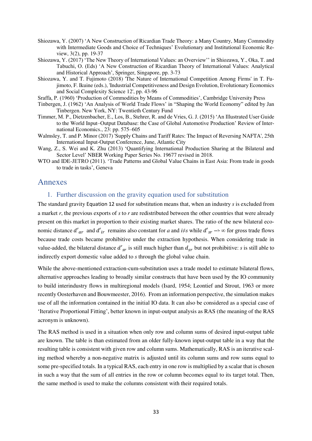- Shiozawa, Y. (2007) 'A New Construction of Ricardian Trade Theory: a Many Country, Many Commodity with Intermediate Goods and Choice of Techniques' Evolutionary and Institutional Economic Review, 3(2), pp. 19-37
- Shiozawa, Y. (2017) 'The New Theory of International Values: an Overview'' in Shiozawa, Y., Oka, T. and Tabuchi, O. (Eds) 'A New Construction of Ricardian Theory of International Values: Analytical and Historical Approach', Springer, Singapore, pp. 3-73
- Shiozawa, Y. and T. Fujimoto (2018) 'The Nature of International Competition Among Firms' in T. Fujimoto, F. Ikuine (eds.), 'Industrial Competitiveness and Design Evolution, Evolutionary Economics and Social Complexity Science 12', pp. 43-96
- Sraffa, P. (1960) 'Production of Commodities by Means of Commodities', Cambridge University Press
- Tinbergen, J. (1962) 'An Analysis of World Trade Flows' in "Shaping the World Economy" edited by Jan Tinbergen. New York, NY: Twentieth Century Fund
- Timmer, M. P., Dietzenbacher, E., Los, B., Stehrer, R. and de Vries, G. J. (2015) 'An Illustrated User Guide to the World Input–Output Database: the Case of Global Automotive Production' Review of International Economics., 23: pp. 575–605
- Walmsley, T. and P. Minor (2017) 'Supply Chains and Tariff Rates: The Impact of Reversing NAFTA', 25th International Input-Output Conference, June, Atlantic City
- Wang, Z., S. Wei and K. Zhu (2013) 'Quantifying International Production Sharing at the Bilateral and Sector Level' NBER Working Paper Series No. 19677 revised in 2018.
- WTO and IDE-JETRO (2011). 'Trade Patterns and Global Value Chains in East Asia: From trade in goods to trade in tasks', Geneva

### Annexes

### 1. Further discussion on the gravity equation used for substitution

The standard gravity Equation 12 used for substitution means that, when an industry *s* is excluded from a market *r*, the previous exports of *s* to *r* are redistributed between the other countries that were already present on this market in proportion to their existing market shares. The ratio of the new bilateral economic distance  $d'_{ar}$  and  $d'_{ir}$  remains also constant for *a* and *i* $\neq$ *s* while  $d'_{sr}$   $\rightarrow \infty$  for gross trade flows because trade costs became prohibitive under the extraction hypothesis. When considering trade in value-added, the bilateral distance  $d'_{sr}$  is still much higher than  $d_{sr}$  but not prohibitive: *s* is still able to indirectly export domestic value added to *s* through the global value chain.

While the above-mentioned extraction-cum-substitution uses a trade model to estimate bilateral flows, alternative approaches leading to broadly similar constructs that have been used by the IO community to build interindustry flows in multiregional models (Isard, 1954; Leontief and Strout, 1963 or more recently Oosterhaven and Bouwmeester, 2016). From an information perspective, the simulation makes use of all the information contained in the initial IO data. It can also be considered as a special case of 'Iterative Proportional Fitting', better known in input-output analysis as RAS (the meaning of the RAS acronym is unknown).

The RAS method is used in a situation when only row and column sums of desired input-output table are known. The table is than estimated from an older fully-known input-output table in a way that the resulting table is consistent with given row and column sums. Mathematically, RAS is an iterative scaling method whereby a non-negative matrix is adjusted until its column sums and row sums equal to some pre-specified totals. In a typical RAS, each entry in one row is multiplied by a scalar that is chosen in such a way that the sum of all entries in the row or column becomes equal to its target total. Then, the same method is used to make the columns consistent with their required totals.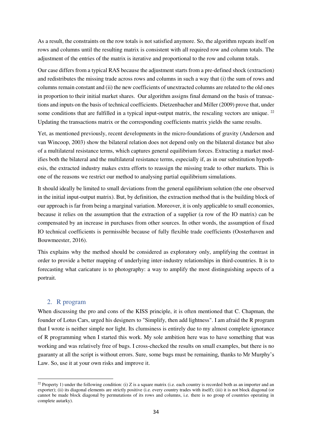As a result, the constraints on the row totals is not satisfied anymore. So, the algorithm repeats itself on rows and columns until the resulting matrix is consistent with all required row and column totals. The adjustment of the entries of the matrix is iterative and proportional to the row and column totals.

Our case differs from a typical RAS because the adjustment starts from a pre-defined shock (extraction) and redistributes the missing trade across rows and columns in such a way that (i) the sum of rows and columns remain constant and (ii) the new coefficients of unextracted columns are related to the old ones in proportion to their initial market shares. Our algorithm assigns final demand on the basis of transactions and inputs on the basis of technical coefficients. Dietzenbacher and Miller (2009) prove that, under some conditions that are fulfilled in a typical input-output matrix, the rescaling vectors are unique.  $^{22}$ Updating the transactions matrix or the corresponding coefficients matrix yields the same results.

Yet, as mentioned previously, recent developments in the micro-foundations of gravity (Anderson and van Wincoop, 2003) show the bilateral relation does not depend only on the bilateral distance but also of a multilateral resistance terms, which captures general equilibrium forces. Extracting a market modifies both the bilateral and the multilateral resistance terms, especially if, as in our substitution hypothesis, the extracted industry makes extra efforts to reassign the missing trade to other markets. This is one of the reasons we restrict our method to analysing partial equilibrium simulations.

It should ideally be limited to small deviations from the general equilibrium solution (the one observed in the initial input-output matrix). But, by definition, the extraction method that is the building block of our approach is far from being a marginal variation. Moreover, it is only applicable to small economies, because it relies on the assumption that the extraction of a supplier (a row of the IO matrix) can be compensated by an increase in purchases from other sources. In other words, the assumption of fixed IO technical coefficients is permissible because of fully flexible trade coefficients (Oosterhaven and Bouwmeester, 2016).

This explains why the method should be considered as exploratory only, amplifying the contrast in order to provide a better mapping of underlying inter-industry relationships in third-countries. It is to forecasting what caricature is to photography: a way to amplify the most distinguishing aspects of a portrait.

### 2. R program

<u>.</u>

When discussing the pro and cons of the KISS principle, it is often mentioned that C. Chapman, the founder of Lotus Cars, urged his designers to "Simplify, then add lightness". I am afraid the R program that I wrote is neither simple nor light. Its clumsiness is entirely due to my almost complete ignorance of R programming when I started this work. My sole ambition here was to have something that was working and was relatively free of bugs. I cross-checked the results on small examples, but there is no guaranty at all the script is without errors. Sure, some bugs must be remaining, thanks to Mr Murphy's Law. So, use it at your own risks and improve it.

<sup>&</sup>lt;sup>22</sup> Property 1) under the following condition: (i) Z is a square matrix (i.e. each country is recorded both as an importer and an exporter); (ii) its diagonal elements are strictly positive (i.e. every country trades with itself); (iii) it is not block diagonal (or cannot be made block diagonal by permutations of its rows and columns, i.e. there is no group of countries operating in complete autarky).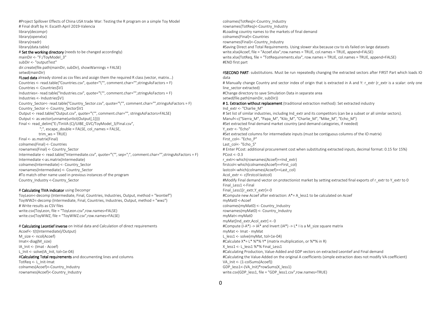#Project Spillover Effects of China USA trade War: Testing the R program on a simple Toy Model # Final draft by H. Escaith April 2019-Valencia library(decompr) library(openxlsx) library(readr) library(data.table) # Set the working directory (needs to be changed accordingly) mainDir <- "F:/ToyModel\_3" subDir <- "outputTest" dir.create(file.path(mainDir, subDir), showWarnings = FALSE) setwd(mainDir) #Load data already stored as csy files and assign them the required R class (vector, matrix...) Countries <- read.table("Countries.csv", quote="\"", comment.char="",stringsAsFactors = F) Countries <- Countries\$V1 Industries<- read.table("Industries.csv", quote="\"", comment.char="",stringsAsFactors = F) Industries <- Industries\$V1 Country\_Sector<- read.table("Country\_Sector.csv", quote="\"", comment.char="",stringsAsFactors = F) Country\_Sector <- Country\_Sector\$V1 Output <- read.table("Output.csv", quote="\"", comment.char="", stringsAsFactors=FALSE) Output <- as.vector(unname(unlist(Output[,1]))) Final <- read\_delim("E:/TinVA (C)/UIBE\_GVC/ToyModel\_3/Final.csv", ";", escape\_double = FALSE, col\_names = FALSE, trim\_ws = TRUE) Final <- as.matrix(Final) colnames(Final) <- Countries rownames(Final) <- Country\_Sector Intermediate <- read.table("Intermediate.csv", quote="\"", sep=";", comment.char="",stringsAsFactors = F) Intermediate <-as.matrix(Intermediate) colnames(Intermediate) <- Country\_Sector rownames(Intermediate) <- Country\_Sector #To match other name used in previous instances of the program Country\_Industry <-Country\_Sector

#### # Calculating TiVA indicator using Decompr

ToyLeon<-decomp (Intermediate, Final, Countries, Industries, Output, method = "leontief") ToyWWZ<-decomp (Intermediate, Final, Countries, Industries, Output, method = "wwz") # Write results as CSV files write.csv(ToyLeon, file = "ToyLeon.csv",row.names=FALSE) write.csv(ToyWWZ, file = "ToyWWZ.csv",row.names=FALSE)

#### # Calculating Leontief inverse on Initial data and Calculation of direct requirements

Acoef<- t(t(Intermediate)/Output) M\_size <- ncol(Acoef) Imat<-diag(M\_size) IA\_Init <- (Imat - Acoef) L\_Init <- solve(IA\_Init, tol=1e-04) #Calculating Total requirements and documenting lines and columns TotReg <- L\_Init-Imat colnames(Acoef)<-Country\_Industry rownames(Acoef)<-Country\_Industry

colnames(TotReq)<-Country\_Industry rownames(TotReq)<-Country\_Industry #Loading country names to the markets of final demand colnames(Final)<-Countries rownames(Final)<-Country\_Industry #Saving Direct and Total Requirements. Using slower xlsx because csv to xls failed on large datasets write.xlsx(Acoef, file = "Acoef,xlsx",row.names = TRUF, col.names = TRUF, append=FALSF) write.xlsx(TotReq, file = "TotRequirements.xlsx", row.names = TRUE, col.names = TRUE, append=FALSE) #END first part #SECOND PART: substitutions. Must be run repeatedly changing the extracted sectors after FIRST Part which loads IO data # Manually change Country and sector index of origin that is extracted in A and Y: r\_extr (r\_extr is a scalar: only one line\_sector extracted) #Change directory to save Simulation Data in separate area setwd(file.path(mainDir, subDir)) #1. Extraction without replacement (traditional extraction method): Set extracted industry Ind\_extr <- "Charlie\_M" # Set list of similar industries, including Ind extr and its competitors (can be a subset or all similar sectors). Manuf<-c("Sierra\_M", "Papa\_M", "Kilo\_M", "Charlie\_M", "Mike\_M", "Echo\_M") #Set extracted final demand market country (and demand categories, if needed) Y\_extr <- "Echo" #Set extracted columns for intermediate inputs (must be contiguous columns of the IO matrix) First\_col<- "Echo\_P" Last\_col<- "Echo\_S" # Enter PCost: additional procurement cost when substituting extracted inputs, decimal format: 0.15 for 15%) PCost <- 0.3 r\_extr<-which(rownames(Acoef)==Ind\_extr) firstcol<-which(colnames(Acoef)==First\_col) lastcol<-which(colnames(Acoef)==Last\_col) Acol\_extr <- c(firstcol:lastcol) #Modify Final demand vector on protectionist market by setting extracted final exports of r\_extr to Y\_extr to 0 Final\_Less1 <-Final Final\_Less1[r\_extr,Y\_extr]<-0 #Compute new Acoef after extraction: A\*= A\_less1 to be calculated on Acoef myMat0 <-Acoef colnames(myMat0) <- Country\_Industry rownames(myMat0) <- Country\_Industry myMat<-myMat0 myMat[Ind\_extr,Acol\_extr] <- 0 #Compute (I-A\*) -> IA\* and Invert (IA\*) ->  $L^*$  I is a M size square matrix

myMat <- Imat - myMat

L\_less1 <- solve(myMat, tol=1e-04)

X\_less1 <- L\_less1 %\*% Final\_Less1

GDP\_less1<-(VA\_Init)\*rowSums(X\_less1)

VA\_Init <- (1-colSums(Acoef))

#Calculate X\*= L\* %\*% Y\* (matrix multiplication, or %\*% in R)

write.csv(GDP\_less1, file = "GDP\_less1.csv",row.names=TRUE)

#Calculating Production, Value-Added and GDP vectors on extracted Leontief and Final demand

#Calculating the Value-Added on the original A coefficients (simple extraction does not modify VA coefficient)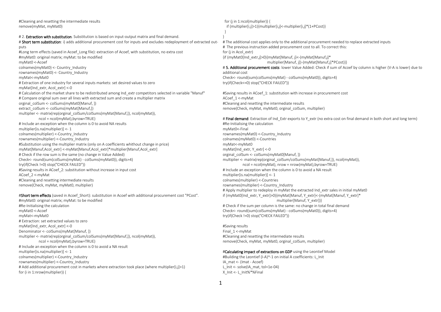#Cleaning and resetting the intermediate results remove(myMat, myMat0)

# 2. **Extraction with substitution**. Substitution is based on input-output matrix and final demand.

# Short term substitution: i) adds additional procurement cost for inputs and excludes redeployment of extracted outputs #Long term effects (saved in Acoef\_Long file): extraction of Acoef, with substitution, no extra cost

#myMat0: original matrix; myMat: to be modified myMat0 <-Acoef colnames(myMat0) <- Country\_Industry rownames(myMat0) <- Country\_Industry myMat<-myMat0 # Extraction of one industry for several inputs markets: set desired values to zero myMat[Ind\_extr, Acol\_extr] <-0 # Calculation of the market share to be redistributed among Ind extr competitors selected in variable "Manuf" # Compare original sum over all lines with extracted sum and create a multiplier matrix orginal\_colSum <- colSums(myMat0[Manuf, ]) extract\_colSum <- colSums(myMat[Manuf,]) multiplier <- matrix(rep(orginal\_colSum/colSums(myMat[Manuf,]), ncol(myMat)), ncol = ncol(myMat),byrow=TRUE) # Include an exception when the column is 0 to avoid NA results multiplier[is.na(multiplier)] <- 1 colnames(multiplier) <-Country\_Industry rownames(multiplier) <-Country\_Industry #Substitution using the multiplier matrix (only on A coefficients whithout change in price) myMat[Manuf,Acol\_extr] <-myMat[Manuf,Acol\_extr]\*multiplier[Manuf,Acol\_extr] # Check if the row sum is the same (no change in Value Added) Check<- round(sum(colSums(myMat) - colSums(myMat0)), digits=4) try(if(Check !=0) stop("CHECK FAILED")) #Saving results in ACoef 2: substitution without increase in input cost ACoef\_2 <-myMat #Cleaning and resetting intermediate results remove(Check, myMat, myMat0, multiplier)

#Short term effects (saved in Acoef Short): substitution in Acoef with additional procurement cost "PCost". #myMat0: original matrix; myMat: to be modified #Re-Initialising the calculation myMat0 <-Acoef myMat<-myMat0 # Extraction: set extracted values to zero myMat[Ind\_extr, Acol\_extr] <-0 Denominator <- colSums(myMat[Manuf, ]) multiplier <- matrix(rep(orginal\_colSum/colSums(myMat[Manuf,]), ncol(myMat)), ncol = ncol(myMat),byrow=TRUE) # Include an exception when the column is 0 to avoid a NA result multiplier[is.na(multiplier)] <- 1 colnames(multiplier) <-Country\_Industry rownames(multiplier) <-Country\_Industry # Add additional procurement cost in markets where extraction took place (where multiplier[i,j]>1) for (i in 1:nrow(multiplier)) {

 for (j in 1:ncol(multiplier)) { if (multiplier[i,j]>1){multiplier[i,j]<-multiplier[i,j]\*(1+PCost)}

}

} # The additional cost applies only to the additional procurement needed to replace extracted inputs # The previous instruction added procurement cost to all. To correct this: for (i in Acol extr) {if (myMat0[Ind\_extr,j]>0){myMat[Manuf, j]<-(myMat[Manuf,j]\* multiplier[Manuf, j])-(myMat[Manuf,j]\*PCost)}}

# 5. Additional procurement costs: lower Value Added: Check if sum of Acoef by column is higher (V-A is lower) due to additional cost Check<- round(sum(colSums(myMat) - colSums(myMat0)), digits=4) try(if(Check<=0) stop("CHECK FAILED"))

#Saving results in ACoef 1: substitution with increase in procurement cost ACoef\_1 <-myMat #Cleaning and resetting the intermediate results remove(Check, myMat, myMat0, orginal\_colSum, multiplier)

# Final demand: Extraction of Ind Extr exports to Y extr (no extra cost on final demand in both short and long term) #Re-Initialising the calculation myMat0<-Final rownames(myMat0) <-Country\_Industry colnames(myMat0) <-Countries myMat<-myMat0 myMat[Ind\_extr, Y\_extr] <-0 orginal\_colSum <- colSums(myMat0[Manuf, ]) multiplier <- matrix(rep(orginal\_colSum/colSums(myMat[Manuf,]), ncol(myMat)), ncol = ncol(myMat), nrow = nrow(myMat),byrow=TRUE) # Include an exception when the column is 0 to avoid a NA result multiplier[is.na(multiplier)] <- 1 colnames(multiplier) <-Countries rownames(multiplier) <-Country\_Industry # Apply multiplier to redeploy in myMat the extracted Ind extr sales in initial myMat0 if (myMat0[Ind\_extr, Y\_extr]>0){myMat[Manuf, Y\_extr]<-(myMat[Manuf. Y\_extr]\* multiplier[Manuf, Y\_extr])} # Check if the sum per column is the same: no change in total final demand Check<- round(sum(colSums(myMat) - colSums(myMat0)), digits=4) try(if(Check !=0) stop("CHECK FAILED"))

#Saving results Final\_1 <-myMat #Cleaning and resetting the intermediate results remove(Check, myMat, myMat0, orginal\_colSum, multiplier)

#### #Calculating impact of extractions on GDP using the Leontief Model

#Building the Leontief (I-A)^-1 on initial A coefficients: L\_Init IA\_mat <- (Imat - Acoef) L\_Init <- solve(IA\_mat, tol=1e-04) X\_Init <- L\_Init%\*%Final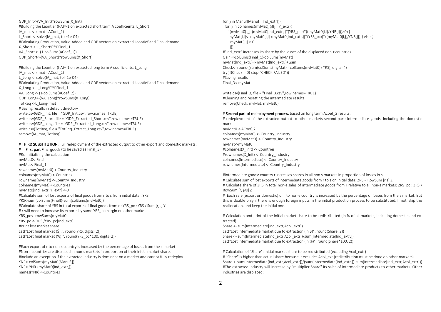GDP\_Init<-(VA\_Init)\*rowSums(X\_Init) #Building the Leontief (I-A)^-1 on extracted short term A coefficients: L\_Short IA\_mat <- (Imat - ACoef\_1) L Short <- solve(IA\_mat, tol=1e-04) #Calculating Production, Value-Added and GDP vectors on extracted Leontief and Final demand X\_Short <- L\_Short%\*%Final\_1 VA\_Short <- (1-colSums(ACoef\_1)) GDP\_Short<-(VA\_Short)\*rowSums(X\_Short)

#Building the Leontief (I-A)^-1 on extracted long term A coefficients: L\_Long IA\_mat <- (Imat - ACoef\_2) L\_Long <- solve(IA\_mat, tol=1e-04) #Calculating Production, Value-Added and GDP vectors on extracted Leontief and Final demand X\_Long <- L\_Long%\*%Final\_1 VA\_Long <- (1-colSums(ACoef\_2)) GDP\_Long<-(VA\_Long)\*rowSums(X\_Long) TotReq <-L\_Long-Imat # Saving results in default directory write.csv(GDP\_Init, file = "GDP\_Init.csv",row.names=TRUE) write.csv(GDP\_Short, file = "GDP\_Extracted\_Short.csv",row.names=TRUE) write.csv(GDP\_Long, file = "GDP\_Extracted\_Long.csv",row.names=TRUE) write.csv(TotReq, file = "TotReq\_Extract\_Long.csv",row.names=TRUE) remove(IA\_mat, TotReq)

# THIRD SUBSTITUTION: Full redeployment of the extracted output to other export and domestic markets:

# First part Final goods (to be saved as Final 3) #Re-Initialising the calculation myMat0<-Final myMat<-Final\_1 rownames(myMat0) <-Country\_Industry colnames(myMat0) <-Countries rownames(myMat) <-Country\_Industry colnames(myMat) <-Countries myMat0[Ind\_extr, Y\_extr] <-0 #Calculate sum of lost exports of final goods from r to s from initial data : YRS YRS<-sum(colSums(Final))-sum(colSums(myMat0)) #Calculate share of YRS in total exports of final goods from r : YRS\_pc : YRS / Sum [r, .] Y # r will need to increase its exports by same YRS pcmargin on other markets YRS\_pc<- rowSums(myMat0) YRS\_pc <- YRS /YRS\_pc[Ind\_extr] #Print lost market share cat("Lost final market (\$):", round(YRS, digits=2)) cat("Lost final market (%):", round(YRS\_pc\*100, digits=2))

#Each export of r to non-s country is increased by the percentage of losses from the s market #Non-r countries are displaced in non-s markets in proportion of their initial market share. #Include an exception if the extracted industry is dominant on a market and cannot fully redeploy YNR<-colSums(myMat0[Manuf,]) YNR<-YNR-(myMat0[Ind\_extr,]) names(YNR) <-Countries

for (i in Manuf[Manuf!=Ind\_extr]) { for (j in colnames(myMat)){if(j!=Y\_extr){ if (myMat0[i,j]-(myMat0[Ind\_extr,j]\*(YRS\_pc))\*((myMat0[i,j]/YNR[j]))>0) { myMat[i,j]<- myMat0[i,j]-(myMat0[Ind\_extr,j]\*(YRS\_pc))\*((myMat0[i,j]/YNR[j]))} else { myMat[i,j] <-0 }}}} #"Ind\_extr" increases its share by the losses of the displaced non-r countries Gain <-colSums(Final\_1)-colSums(myMat) myMat[Ind\_extr,]<- myMat[Ind\_extr,]+Gain Check<- round((sum(colSums(myMat) - colSums(myMat0))-YRS), digits=4) try(if(Check !=0) stop("CHECK FAILED")) #Saving results Final\_3<-myMat

write.csv(Final\_3, file = "Final\_3.csv",row.names=TRUE) #Cleaning and resetting the intermediate results remove(Check, myMat, myMat0)

#### # Second part of redeployment process, based on long term Acoef 2 results:

# redeployment of the extracted output to other markets second part: Intermediate goods. Including the domestic market myMat0 <-ACoef\_2 colnames(myMat0) <- Country\_Industry rownames(myMat0) <- Country\_Industry myMat<-myMat0 #colnames(X\_Init) <- Countries #rownames(X\_Init) <- Country\_Industry colnames(Intermediate) <- Country\_Industry rownames(Intermediate) <- Country\_Industry

#Intermediate goods: country r increases shares in all non s markets in proportion of losses in s # Calculate sum of lost exports of intermediate goods from r to s on initial data: ZRS = RowSum [r,s] Z # Calculate share of ZRS in total non-s sales of intermediate goods from r relative to all non-s markets: ZRS\_pc : ZRS / RowSum [r, j≠s] Z

# Each sale (export or domestic) of r to non-s country is increased by the percentage of losses from the s market. But this is doable only if there is enough foreign inputs in the initial production process to be substituted. If not, skip the reallocation, and keep the initial one.

# Calculation and print of the initial market share to be redistributed (in % of all markets, including domestic and extracted)

Share <- sum(Intermediate[Ind\_extr,Acol\_extr])

cat("Lost intermediate market due to extraction (in \$)", round(Share, 2)) Share <- sum(Intermediate[Ind\_extr,Acol\_extr])/sum(Intermediate[Ind\_extr,]) cat("Lost intermediate market due to extraction (in %)", round(Share\*100, 2))

# Calculation of "Share": initial market share to be redistributed (excluding Acol extr)

# "Share" is higher than actual share because it excludes Acol ext (redistribution must be done on other markets) Share <- sum(Intermediate[Ind\_extr,Acol\_extr])/(sum(Intermediate[Ind\_extr,])-sum(Intermediate[Ind\_extr,Acol\_extr])) #The extracted industry will increase by "multiplier Share" its sales of intermediate products to other markets. Other industries are displaced: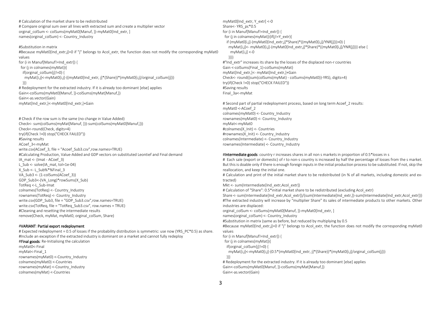# Calculation of the market share to be redistributed # Compare original sum over all lines with extracted sum and create a multiplier vector orginal\_colSum <- colSums(myMat0[Manuf, ])-myMat0[Ind\_extr, ] names(orginal\_colSum) <- Country\_Industry

#Substitution in matrix

#Because myMat0[Ind\_extr,j]=0 if "j" belongs to Acol\_extr, the function does not modify the corresponding myMat0 values for (i in Manuf[Manuf!=Ind\_extrl) { for (i in colnames(myMat)){ if(orginal\_colSum[j]!=0) { myMat[i,j]<-myMat0[i,j]-((myMat0[Ind\_extr, j]\*(Share))\*(myMat0[i,j]/orginal\_colSum[j])) }}} # Redeployment for the extracted industry. If it is already too dominant [else] applies Gain<-colSums(myMat0[Manuf, ])-colSums(myMat[Manuf,]) Gain<-as.vector(Gain) myMat[Ind\_extr,]<-myMat0[Ind\_extr,]+Gain

# Check if the row sum is the same (no change in Value Added) Check<- sum(colSums(myMat[Manuf, ]))-sum(colSums(myMat0[Manuf,])) Check<-round(Check, digits=4) try(if(Check !=0) stop("CHECK FAILED")) #Saving results ACoef\_3<-myMat write.csv(ACoef\_3, file = "Acoef\_Sub3.csv",row.names=TRUE) #Calculating Production, Value-Added and GDP vectors on substituted Leontief and Final demand IA\_mat <- (Imat - ACoef\_3) L\_Sub <- solve(IA\_mat, tol=1e-04) X\_Sub <- L\_Sub%\*%Final\_3 VA\_Sub3 <- (1-colSums(ACoef\_3)) GDP\_Sub3<-(VA\_Long)\*rowSums(X\_Sub) TotReq <-L\_Sub-Imat colnames(TotReq) <- Country\_Industry rownames(TotReq) <- Country\_Industry write.csv(GDP\_Sub3, file = "GDP\_Sub3.csv",row.names=TRUE) write.csv(TotReq, file = "TotReq\_Sub3.csv", row.names = TRUE) #Cleaning and resetting the intermediate results remove(Check, myMat, myMat0, orginal\_colSum, Share)

#### #VARIANT: Partial export redeployment

# Expected redeployment = 0.5 of losses if the probability distribution is symmetric: use now (YRS\_PC\*0.5) as share. #Include an exception if the extracted industry is dominant on a market and cannot fully redeploy

#Final goods: Re-Initialising the calculation myMat0<-Final myMat<-Final\_1 rownames(myMat0) <-Country\_Industry colnames(myMat0) <-Countries rownames(myMat) <-Country\_Industry colnames(myMat) <-Countries

myMat0[Ind\_extr, Y\_extr] <-0 Share<- YRS\_pc\*0.5 for (i in Manuf[Manuf!=Ind\_extr]) { for (j in colnames(myMat)){if(j!=Y\_extr){ if (myMat0[i,j]-(myMat0[Ind\_extr,j]\*Share)\*((myMat0[i,j]/YNR[j]))>0) { myMat[i,j]<- myMat0[i,j]-(myMat0[Ind\_extr,j]\*Share)\*((myMat0[i,j]/YNR[j]))} else { myMat[i,j] <-0 }}}} #"Ind\_extr" increases its share by the losses of the displaced non-r countries Gain <-colSums(Final\_1)-colSums(myMat) myMat[Ind\_extr,]<- myMat[Ind\_extr,]+Gain Check<- round((sum(colSums(myMat) - colSums(myMat0))-YRS), digits=4) try(if(Check !=0) stop("CHECK FAILED")) #Saving results Final\_3a<-myMat

# Second part of partial redeployment process, based on long term Acoef 2 results: myMat0 <-ACoef\_2 colnames(myMat0) <- Country\_Industry rownames(myMat0) <- Country\_Industry myMat<-myMat0 #colnames(X\_Init) <- Countries #rownames(X\_Init) <- Country\_Industry colnames(Intermediate) <- Country\_Industry rownames(Intermediate) <- Country\_Industry

#### #Intermediate goods: country r increases shares in all non s markets in proportion of 0.5\*losses in s

# Each sale (export or domestic) of r to non-s country is increased by half the percentage of losses from the s market. But this is doable only if there is enough foreign inputs in the initial production process to be substituted. If not, skip the reallocation, and keep the initial one.

# Calculation and print of the initial market share to be redistributed (in % of all markets, including domestic and extracted)

Mkt <- sum(Intermediate[Ind\_extr,Acol\_extr])

# Calculation of "Share": 0.5\*initial market share to be redistributed (excluding Acol\_extr)

Share <- sum(Intermediate[Ind\_extr,Acol\_extr])/(sum(Intermediate[Ind\_extr,])-sum(Intermediate[Ind\_extr,Acol\_extr])) #The extracted industry will increase by "multiplier Share" its sales of intermediate products to other markets. Other industries are displaced:

orginal\_colSum <- colSums(myMat0[Manuf, ])-myMat0[Ind\_extr, ]

names(orginal\_colSum) <- Country\_Industry

#Substitution in matrix (same as before, but reduced by multiplying by 0.5

#Because myMat0[Ind\_extr,j]=0 if "j" belongs to Acol\_extr, the function does not modify the corresponding myMat0 values

for (i in Manuf[Manuf!=Ind\_extrl) {

for (j in colnames(myMat)){

if(orginal\_colSum[i]!=0) {

myMat[i,j]<-myMat0[i,j]-(0.5\*(myMat0[Ind\_extr, j]\*(Share))\*(myMat0[i,j]/orginal\_colSum[j]))

}}}

# Redeployment for the extracted industry. If it is already too dominant [else] applies Gain<-colSums(myMat0[Manuf, ])-colSums(myMat[Manuf,]) Gain<-as.vector(Gain)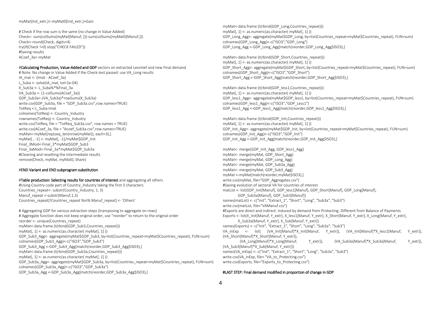#### myMat[Ind\_extr,]<-myMat0[Ind\_extr,]+Gain

# Check if the row sum is the same (no change in Value Added) Check<- sum(colSums(myMat[Manuf, ]))-sum(colSums(myMat0[Manuf,])) Check<-round(Check, digits=4) try(if(Check !=0) stop("CHECK FAILED")) #Saving results ACoef\_3a<-myMat

#Calculating Production, Value-Added and GDP vectors on extracted Leontief and new Final demand # Note: No change in Value Added if the Check-test passed: use VA\_Long results IA\_mat <- (Imat - ACoef\_3a) L\_Suba <- solve(IA\_mat, tol=1e-04) X\_Sub3a <- L\_Suba%\*%Final\_3a VA\_Sub3a <- (1-colSums(ACoef\_3a)) GDP\_Sub3a<-(VA\_Sub3a)\*rowSums(X\_Sub3a) write.csv(GDP\_Sub3a, file = "GDP\_Sub3a.csv",row.names=TRUE) TotReq <-L\_Suba-Imat colnames(TotReq) <- Country\_Industry rownames(TotReq) <- Country\_Industry write.csv(TotReq, file = "TotReq\_Sub3a.csv", row.names = TRUE) write.csv(ACoef\_3a, file = "Acoef\_Sub3a.csv",row.names=TRUE) myMat<-myMat[rep(seq\_len(nrow(myMat)), each=3),] myMat[ , -1] <- myMat[, -1]/myMat\$GDP\_Init Final 3Mod<-Final 3\*myMat\$GDP\_Sub3 Final\_3aMod<-Final\_3a\*myMat\$GDP\_Sub3a #Cleaning and resetting the intermediate results remove(Check, myMat, myMat0, Share)

#### #END Variant and END subprogram substitution

#### #Table production: Selecting results for countries of interest and aggregating all others

#Using Country code part of Country Industry taking the first 3 characters Countries\_repeat<- substr(Country\_Industry, 1, 3) Manuf repeat <-substr(Manuf,1,3) Countries\_repeat[!Countries\_repeat %in% Manuf\_repeat] <- 'Others'

# Aggregating GDP for various extraction steps (transposing to aggregate on rows) # Aggregate function does not keep original order, use "reorder" to return to the original order reorder <- unique(Countries\_repeat) myMat<-data.frame (t(rbind(GDP\_Sub3,Countries\_repeat))) myMat[, 1] <- as.numeric(as.character( myMat[, 1] )) GDP\_Sub3\_Agg<- aggregate(myMat\$GDP\_Sub3, by=list(Countries\_repeat=myMat\$Countries\_repeat), FUN=sum) colnames(GDP\_Sub3\_Agg)<-c("ISO3","GDP\_Sub3") GDP\_Sub3\_Agg <-GDP\_Sub3\_Agg[match(reorder,GDP\_Sub3\_Agg\$ISO3),] myMat<-data.frame (t(rbind(GDP\_Sub3a,Countries\_repeat))) myMat[, 1] <- as.numeric(as.character( myMat[, 1] )) GDP\_Sub3a\_Agg<- aggregate(myMat\$GDP\_Sub3a, by=list(Countries\_repeat=myMat\$Countries\_repeat), FUN=sum) colnames(GDP\_Sub3a\_Agg)<-c("ISO3","GDP\_Sub3a") GDP\_Sub3a\_Agg <-GDP\_Sub3a\_Agg[match(reorder,GDP\_Sub3a\_Agg\$ISO3),]

myMat<-data.frame (t(rbind(GDP\_Long,Countries\_repeat))) myMat[, 1] <- as.numeric(as.character( myMat[, 1] )) GDP\_Long\_Agg<- aggregate(myMat\$GDP\_Long, by=list(Countries\_repeat=myMat\$Countries\_repeat), FUN=sum) colnames(GDP\_Long\_Agg)<-c("ISO3","GDP\_Long") GDP\_Long\_Agg <-GDP\_Long\_Agg[match(reorder,GDP\_Long\_Agg\$ISO3),]

myMat<-data.frame (t(rbind(GDP\_Short,Countries\_repeat))) myMat[, 1] <- as.numeric(as.character( myMat[, 1] )) GDP\_Short\_Agg<- aggregate(myMat\$GDP\_Short, by=list(Countries\_repeat=myMat\$Countries\_repeat), FUN=sum) colnames(GDP\_Short\_Agg)<-c("ISO3","GDP\_Short") GDP\_Short\_Agg <-GDP\_Short\_Agg[match(reorder,GDP\_Short\_Agg\$ISO3),]

myMat<-data.frame (t(rbind(GDP\_less1,Countries\_repeat))) myMat[, 1] <- as.numeric(as.character( myMat[, 1] )) GDP\_less1\_Agg<- aggregate(myMat\$GDP\_less1, by=list(Countries\_repeat=myMat\$Countries\_repeat), FUN=sum) colnames(GDP\_less1\_Agg)<-c("ISO3","GDP\_Less1") GDP\_less1\_Agg <-GDP\_less1\_Agg[match(reorder,GDP\_less1\_Agg\$ISO3),]

myMat<-data.frame (t(rbind(GDP\_Init,Countries\_repeat))) myMat[, 1] <- as.numeric(as.character( myMat[, 1] )) GDP\_Init\_Agg<- aggregate(myMat\$GDP\_Init, by=list(Countries\_repeat=myMat\$Countries\_repeat), FUN=sum) colnames(GDP\_Init\_Agg)<-c("ISO3","GDP\_Init") GDP\_Init\_Agg <-GDP\_Init\_Agg[match(reorder,GDP\_Init\_Agg\$ISO3),]

myMat<- merge(GDP\_Init\_Agg, GDP\_less1\_Agg) myMat<- merge(myMat, GDP\_Short\_Agg) myMat<- merge(myMat, GDP\_Long\_Agg) myMat<- merge(myMat, GDP\_Sub3a\_Agg) myMat<- merge(myMat, GDP\_Sub3\_Agg) myMat <-myMat[match(reorder,myMat\$ISO3),] write.csv(myMat, file="GDP\_Aggregates.csv") #Saving evolution of sectoral VA for countries of interest matList <- list(GDP\_Init[Manuf], GDP\_less1[Manuf], GDP\_Short[Manuf], GDP\_Long[Manuf], GDP\_Sub3a[Manuf], GDP\_Sub3[Manuf]) names(matList) <- c("Init", "Extract\_1", "Short", "Long", "Sub3a", "Sub3") write.csv(matList, file="VAManuf.csv") #Exports are direct and indirect: induced by demand from Protecting. Different from Balance of Payments Exports <- list(X\_Init[Manuf, Y\_extr], X\_less1[Manuf, Y\_extr], X\_Short[Manuf, Y\_extr], X\_Long[Manuf, Y\_extr], X\_Sub3a[Manuf, Y\_extr], X\_Sub[Manuf, Y\_extr]) names(Exports) <- c("Init", "Extract\_1", "Short", "Long", "Sub3a", "Sub3") VA\_inExp <- list( (VA\_Init[Manuf]\*X\_Init[Manuf, Y\_extr]), (VA\_Init[Manuf]\*X\_less1[Manuf, Y\_extr]), (VA\_Short[Manuf]\*X\_Short[Manuf, Y\_extr]), (VA\_Long[Manuf]\*X\_Long[Manuf, Y\_extr]), (VA\_Sub3a[Manuf]\*X\_Sub3a[Manuf, Y\_extr]), (VA\_Sub3[Manuf]\*X\_Sub[Manuf, Y\_extr])) names(VA\_inExp) <- c("Init", "Extract\_1", "Short", "Long", "Sub3a", "Sub3") write.csv(VA\_inExp, file= "VA\_to\_Protecting.csv") write.csv(Exports, file="Exports\_to\_Protecting.csv")

#### #LAST STEP: Final demand modified in proportion of change in GDP